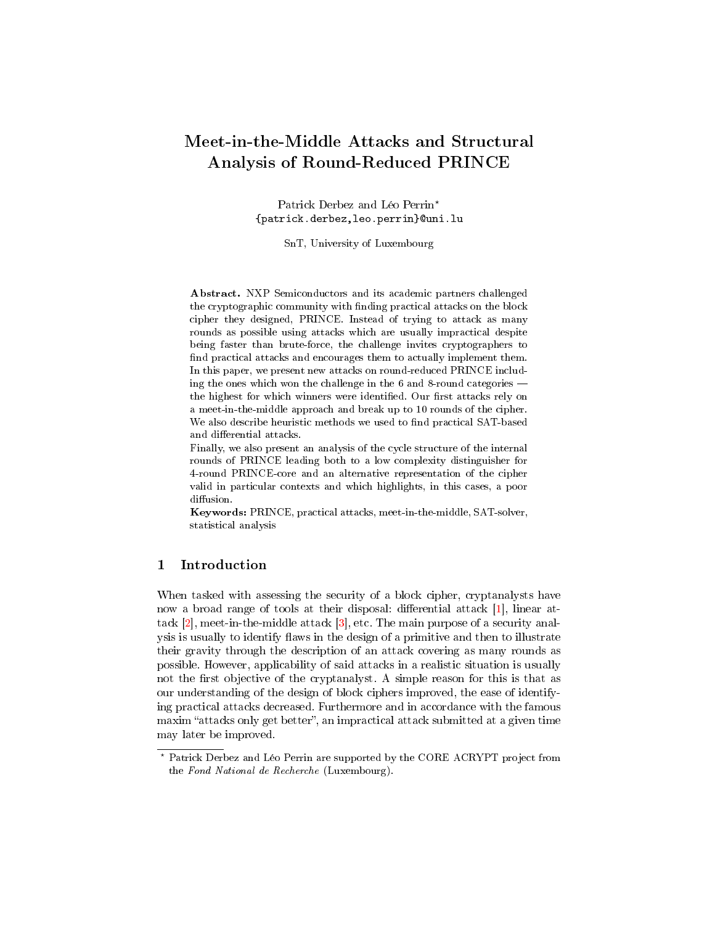# Meet-in-the-Middle Attacks and Structural Analysis of Round-Reduced PRINCE

Patrick Derbez and Léo Perrin? {patrick.derbez,leo.perrin}@uni.lu

SnT, University of Luxembourg

Abstract. NXP Semiconductors and its academic partners challenged the cryptographic community with nding practical attacks on the block cipher they designed, PRINCE. Instead of trying to attack as many rounds as possible using attacks which are usually impractical despite being faster than brute-force, the challenge invites cryptographers to find practical attacks and encourages them to actually implement them. In this paper, we present new attacks on round-reduced PRINCE including the ones which won the challenge in the 6 and 8-round categories the highest for which winners were identified. Our first attacks rely on a meet-in-the-middle approach and break up to 10 rounds of the cipher. We also describe heuristic methods we used to find practical SAT-based and differential attacks.

Finally, we also present an analysis of the cycle structure of the internal rounds of PRINCE leading both to a low complexity distinguisher for 4-round PRINCE-core and an alternative representation of the cipher valid in particular contexts and which highlights, in this cases, a poor diffusion.

Keywords: PRINCE, practical attacks, meet-in-the-middle, SAT-solver, statistical analysis

# 1 Introduction

When tasked with assessing the security of a block cipher, cryptanalysts have now a broad range of tools at their disposal: differential attack  $[1]$ , linear attack [\[2\]](#page-24-1), meet-in-the-middle attack [\[3\]](#page-24-2), etc. The main purpose of a security analysis is usually to identify flaws in the design of a primitive and then to illustrate their gravity through the description of an attack covering as many rounds as possible. However, applicability of said attacks in a realistic situation is usually not the first objective of the cryptanalyst. A simple reason for this is that as our understanding of the design of block ciphers improved, the ease of identifying practical attacks decreased. Furthermore and in accordance with the famous maxim "attacks only get better", an impractical attack submitted at a given time may later be improved.

<sup>?</sup> Patrick Derbez and Léo Perrin are supported by the CORE ACRYPT project from the Fond National de Recherche (Luxembourg).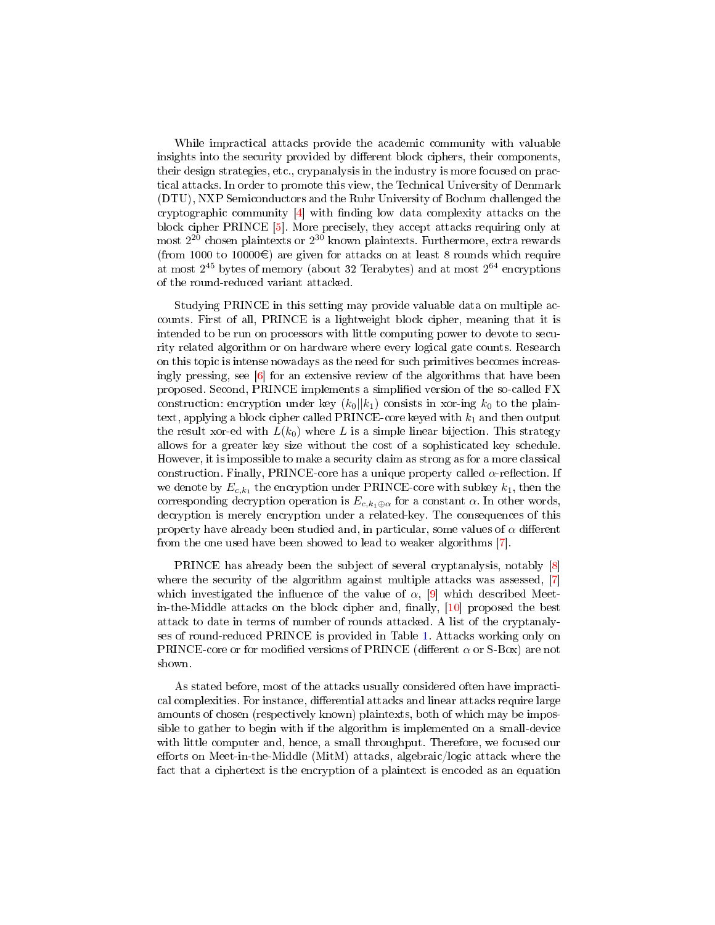While impractical attacks provide the academic community with valuable insights into the security provided by different block ciphers, their components, their design strategies, etc., crypanalysis in the industry is more focused on practical attacks. In order to promote this view, the Technical University of Denmark (DTU), NXP Semiconductors and the Ruhr University of Bochum challenged the cryptographic community  $[4]$  with finding low data complexity attacks on the block cipher PRINCE [\[5\]](#page-24-4). More precisely, they accept attacks requiring only at most  $2^{20}$  chosen plaintexts or  $2^{30}$  known plaintexts. Furthermore, extra rewards (from 1000 to 10000 $\epsilon$ ) are given for attacks on at least 8 rounds which require at most 2 <sup>45</sup> bytes of memory (about 32 Terabytes) and at most 2 <sup>64</sup> encryptions of the round-reduced variant attacked.

Studying PRINCE in this setting may provide valuable data on multiple accounts. First of all, PRINCE is a lightweight block cipher, meaning that it is intended to be run on processors with little computing power to devote to security related algorithm or on hardware where every logical gate counts. Research on this topic is intense nowadays as the need for such primitives becomes increasingly pressing, see  $\lceil 6 \rceil$  for an extensive review of the algorithms that have been proposed. Second, PRINCE implements a simplied version of the so-called FX construction: encryption under key  $(k_0||k_1)$  consists in xor-ing  $k_0$  to the plaintext, applying a block cipher called PRINCE-core keyed with  $k_1$  and then output the result xor-ed with  $L(k_0)$  where L is a simple linear bijection. This strategy allows for a greater key size without the cost of a sophisticated key schedule. However, it is impossible to make a security claim as strong as for a more classical construction. Finally, PRINCE-core has a unique property called  $\alpha$ -reflection. If we denote by  $E_{c,k_1}$  the encryption under PRINCE-core with subkey  $k_1,$  then the corresponding decryption operation is  $E_{c,k_1\oplus \alpha}$  for a constant  $\alpha$ . In other words, decryption is merely encryption under a related-key. The consequences of this property have already been studied and, in particular, some values of  $\alpha$  different from the one used have been showed to lead to weaker algorithms [\[7\]](#page-24-6).

PRINCE has already been the subject of several cryptanalysis, notably [\[8\]](#page-24-7) where the security of the algorithm against multiple attacks was assessed, [\[7\]](#page-24-6) which investigated the influence of the value of  $\alpha$ , [\[9\]](#page-24-8) which described Meet $in$ -the-Middle attacks on the block cipher and, finally,  $[10]$  proposed the best attack to date in terms of number of rounds attacked. A list of the cryptanalyses of round-reduced PRINCE is provided in Table [1.](#page-2-0) Attacks working only on PRINCE-core or for modified versions of PRINCE (different  $\alpha$  or S-Box) are not shown.

As stated before, most of the attacks usually considered often have impractical complexities. For instance, differential attacks and linear attacks require large amounts of chosen (respectively known) plaintexts, both of which may be impossible to gather to begin with if the algorithm is implemented on a small-device with little computer and, hence, a small throughput. Therefore, we focused our efforts on Meet-in-the-Middle (MitM) attacks, algebraic/logic attack where the fact that a ciphertext is the encryption of a plaintext is encoded as an equation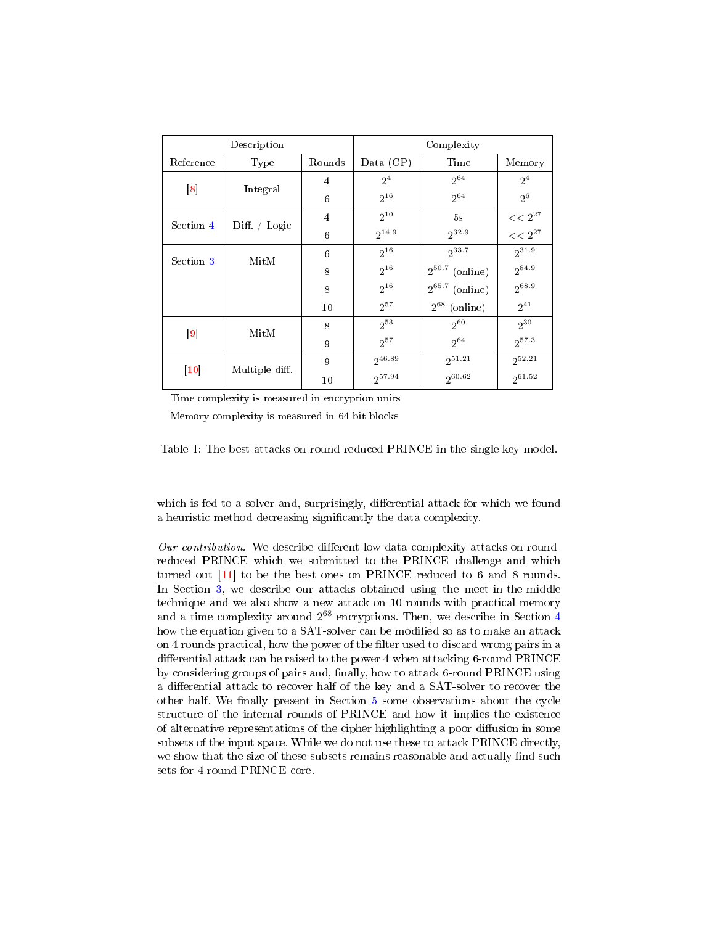<span id="page-2-0"></span>

|                   | Description        |        | Complexity               |                     |                |  |  |
|-------------------|--------------------|--------|--------------------------|---------------------|----------------|--|--|
| Reference         | Type               |        | Data $(CP)$              | Time                | Memory         |  |  |
|                   |                    | 4      | 2 <sup>4</sup>           | $2^{64}$            | 2 <sup>4</sup> |  |  |
| $\lceil 8 \rceil$ | Integral           | 6      | $2^{16}$                 | $2^{64}$            | 2 <sup>6</sup> |  |  |
| Section 4         | Diff. $\int$ Logic | 4      | $2^{10}$                 | 5s                  | $<< 2^{27}$    |  |  |
|                   |                    | 6      | $2^{32.9}$<br>$2^{14.9}$ |                     |                |  |  |
| Section 3         | MitM               | 6      | $2^{16}$                 | $2^{33.7}$          | $2^{31.9}$     |  |  |
|                   |                    | 8      | $2^{16}$                 | $2^{50.7}$ (online) | $2^{84.9}$     |  |  |
|                   |                    | 8      | $2^{16}$                 | $2^{65.7}$ (online) | 268.9          |  |  |
|                   |                    | 10     | $2^{57}$                 | $2^{68}$ (online)   | $2^{41}$       |  |  |
|                   | MitM               | 8      | $2^{53}$                 | $2^{60}$            | $2^{30}$       |  |  |
| $\vert 9 \vert$   |                    | 9      | $2^{57}$                 | $2^{64}$            | $2^{57.3}$     |  |  |
| $\vert 10 \vert$  | Multiple diff.     | 9      | 246.89                   | $2^{51.21}$         | $2^{52.21}$    |  |  |
|                   |                    | $10\,$ | $2^{57.94}$              | $2^{60.62}$         | $2^{61.52}$    |  |  |

Time complexity is measured in encryption units

Memory complexity is measured in 64-bit blocks

Table 1: The best attacks on round-reduced PRINCE in the single-key model.

which is fed to a solver and, surprisingly, differential attack for which we found a heuristic method decreasing signicantly the data complexity.

Our contribution. We describe different low data complexity attacks on roundreduced PRINCE which we submitted to the PRINCE challenge and which turned out [\[11\]](#page-24-10) to be the best ones on PRINCE reduced to 6 and 8 rounds. In Section [3,](#page-4-0) we describe our attacks obtained using the meet-in-the-middle technique and we also show a new attack on 10 rounds with practical memory and a time complexity around 2 <sup>68</sup> encryptions. Then, we describe in Section [4](#page-10-0) how the equation given to a SAT-solver can be modified so as to make an attack on 4 rounds practical, how the power of the filter used to discard wrong pairs in a differential attack can be raised to the power 4 when attacking 6-round PRINCE by considering groups of pairs and, finally, how to attack 6-round PRINCE using a differential attack to recover half of the key and a SAT-solver to recover the other half. We finally present in Section some observations about the cycle structure of the internal rounds of PRINCE and how it implies the existence of alternative representations of the cipher highlighting a poor diffusion in some subsets of the input space. While we do not use these to attack PRINCE directly, we show that the size of these subsets remains reasonable and actually find such sets for 4-round PRINCE-core.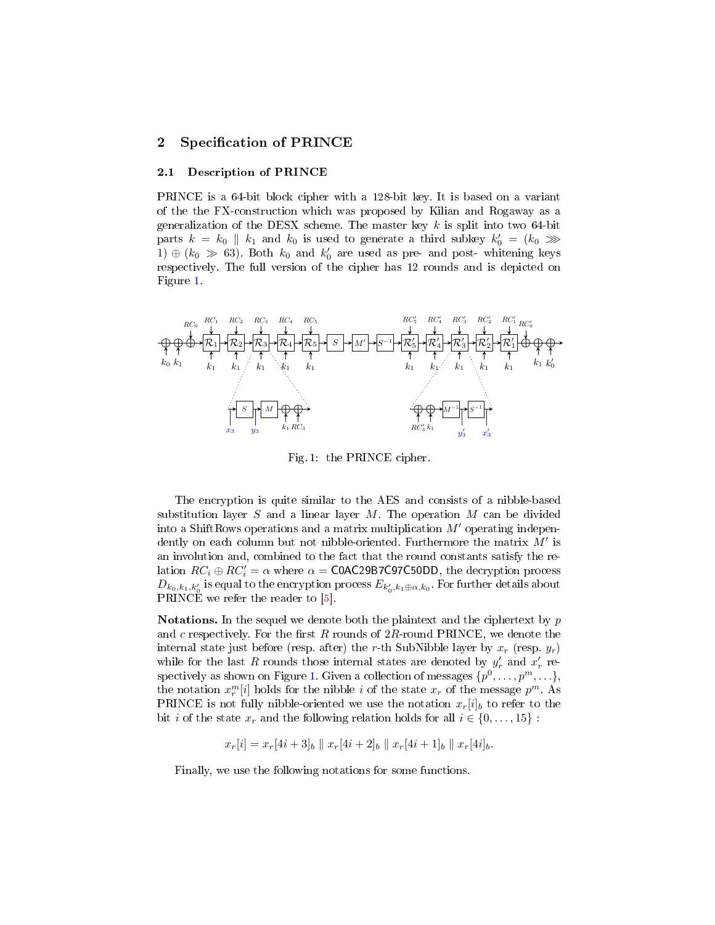# 2 Specification of PRINCE

### 2.1 Description of PRINCE

PRINCE is a 64-bit block cipher with a 128-bit key. It is based on a variant of the the FX-construction which was proposed by Kilian and Rogaway as a generalization of the DESX scheme. The master key  $k$  is split into two 64-bit parts  $k = k_0 \parallel k_1$  and  $k_0$  is used to generate a third subkey  $k'_0 = (k_0 \gg)$ 1)  $\oplus$  ( $k_0 \gg 63$ ). Both  $k_0$  and  $k'_0$  are used as pre- and post- whitening keys respectively. The full version of the cipher has 12 rounds and is depicted on Figure [1.](#page-3-0)

<span id="page-3-0"></span>

Fig. 1: the PRINCE cipher.

The encryption is quite similar to the AES and consists of a nibble-based substitution layer  $S$  and a linear layer  $M$ . The operation  $M$  can be divided into a ShiftRows operations and a matrix multiplication  $M'$  operating independently on each column but not nibble-oriented. Furthermore the matrix  $M'$  is an involution and, combined to the fact that the round constants satisfy the relation  $RC_i \oplus RC'_i = \alpha$  where  $\alpha = \textsf{COAC29B7C50DD}$ , the decryption process  $D_{k_0, k_1, k_0'}$  is equal to the encryption process  $E_{k_0', k_1 \oplus \alpha, k_0}$ . For further details about PRINCE we refer the reader to [\[5\]](#page-24-4).

**Notations.** In the sequel we denote both the plaintext and the ciphertext by  $p$ and  $c$  respectively. For the first  $R$  rounds of  $2R$ -round PRINCE, we denote the internal state just before (resp. after) the r-th SubNibble layer by  $x_r$  (resp.  $y_r$ ) while for the last R rounds those internal states are denoted by  $y'_r$  and  $x'_r$  re-spectively as shown on Figure [1.](#page-3-0) Given a collection of messages  $\{p^0,\ldots,p^m,\ldots\},$ the notation  $x_r^m[i]$  holds for the nibble *i* of the state  $x_r$  of the message  $p^m$ . As PRINCE is not fully nibble-oriented we use the notation  $x_r[i]_b$  to refer to the bit *i* of the state  $x_r$  and the following relation holds for all  $i \in \{0, \ldots, 15\}$ :

 $x_r[i] = x_r[4i+3]_b \parallel x_r[4i+2]_b \parallel x_r[4i+1]_b \parallel x_r[4i]_b.$ 

Finally, we use the following notations for some functions.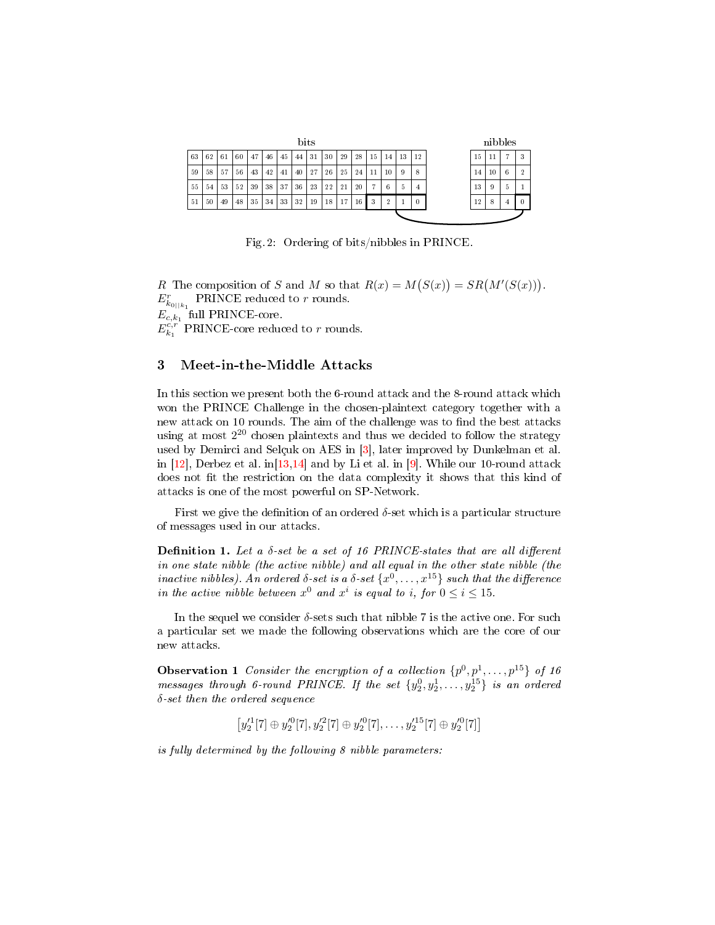|    |    |    |    |    |    |    |    | <b>bits</b> |    |    |    |    |    |    |          |  |    |    | nibbles |                |
|----|----|----|----|----|----|----|----|-------------|----|----|----|----|----|----|----------|--|----|----|---------|----------------|
| 63 | 62 | 61 | 60 | 47 | 46 | 45 | 44 | 31          | 30 | 29 | 28 | 15 | 14 | 13 | 12       |  | 15 | 11 | 7       | 3              |
| 59 | 58 | 57 | 56 | 43 | 42 | 41 | 40 | 27          | 26 | 25 | 24 | 11 | 10 | 9  | 8        |  | 14 | 10 | 6       | $\overline{2}$ |
| 55 | 54 | 53 | 52 | 39 | 38 | 37 | 36 | 23          | 22 | 21 | 20 | ÷  | 6  | 5  | 4        |  | 13 | 9  | 5.      |                |
| 51 | 50 | 49 | 48 | 35 | 34 | 33 | 32 | 19          | 18 | 17 | 16 | 3  | 9  |    | $\theta$ |  | 12 | 8  |         | $\theta$       |
|    |    |    |    |    |    |    |    |             |    |    |    |    |    |    |          |  |    |    |         |                |

Fig. 2: Ordering of bits/nibbles in PRINCE.

R The composition of S and M so that  $R(x) = M(S(x)) = SR(M'(S(x)))$ .  $E_{k_{0||k_1}}^{r}$  PRINCE reduced to r rounds.  $E_{c,k_1}$  full PRINCE-core.  $E_{k_1}^{c,r}$  PRINCE-core reduced to r rounds.

# <span id="page-4-0"></span>3 Meet-in-the-Middle Attacks

In this section we present both the 6-round attack and the 8-round attack which won the PRINCE Challenge in the chosen-plaintext category together with a new attack on 10 rounds. The aim of the challenge was to find the best attacks using at most  $2^{20}$  chosen plaintexts and thus we decided to follow the strategy used by Demirci and Selçuk on AES in [\[3\]](#page-24-2), later improved by Dunkelman et al. in  $[12]$ , Derbez et al. in  $[13,14]$  $[13,14]$  and by Li et al. in [\[9\]](#page-24-8). While our 10-round attack does not fit the restriction on the data complexity it shows that this kind of attacks is one of the most powerful on SP-Network.

First we give the definition of an ordered  $\delta$ -set which is a particular structure of messages used in our attacks.

Definition 1. Let a  $\delta$ -set be a set of 16 PRINCE-states that are all different in one state nibble (the active nibble) and all equal in the other state nibble (the inactive nibbles). An ordered  $\delta$ -set is a  $\delta$ -set  $\{x^0,\ldots,x^{15}\}$  such that the difference in the active nibble between  $x^0$  and  $x^i$  is equal to i, for  $0 \le i \le 15$ .

In the sequel we consider  $\delta$ -sets such that nibble 7 is the active one. For such a particular set we made the following observations which are the core of our new attacks.

<span id="page-4-1"></span>**Observation 1** Consider the encryption of a collection  $\{p^0, p^1, \ldots, p^{15}\}$  of 16  $\emph{message through 6-round PRINCE}.$  If the set  $\{y_2^0, y_2^1, \ldots, y_2^{15}\}$  is an ordered δ-set then the ordered sequence

$$
[y_2'^1[7]\oplus y_2'^0[7], y_2'^2[7]\oplus y_2'^0[7], \ldots, y_2'^{15}[7]\oplus y_2'^0[7]]
$$

is fully determined by the following 8 nibble parameters: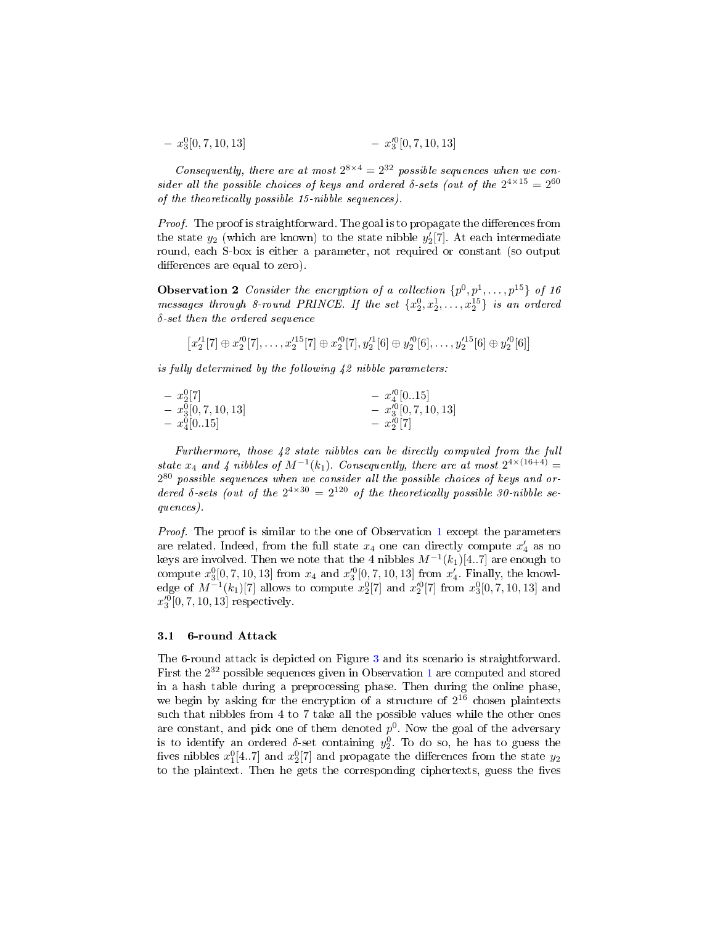$$
- x_3^0[0, 7, 10, 13] - x_3^0[0, 7, 10, 13]
$$

Consequently, there are at most  $2^{8\times4} = 2^{32}$  possible sequences when we consider all the possible choices of keys and ordered  $\delta$ -sets (out of the  $2^{4\times15} = 2^{60}$ of the theoretically possible 15-nibble sequences).

*Proof.* The proof is straightforward. The goal is to propagate the differences from the state  $y_2$  (which are known) to the state nibble  $y_2'[7]$ . At each intermediate round, each S-box is either a parameter, not required or constant (so output differences are equal to zero).

<span id="page-5-0"></span>**Observation 2** Consider the encryption of a collection  $\{p^0, p^1, \ldots, p^{15}\}$  of 16 messages through 8-round PRINCE. If the set  $\{x_2^0, x_2^1, \ldots, x_2^{15}\}$  is an ordered  $\delta$ -set then the ordered sequence

$$
[x_2^{\prime 1}[7]\oplus x_2^{\prime 0}[7], \ldots, x_2^{\prime 15}[7]\oplus x_2^{\prime 0}[7], y_2^{\prime 1}[6]\oplus y_2^{\prime 0}[6], \ldots, y_2^{\prime 15}[6]\oplus y_2^{\prime 0}[6]]
$$

is fully determined by the following 42 nibble parameters:

$$
- x_2^0[7] - x_3^0[0, 7, 10, 13] - x_4^0[0.15] - x_4^0[0.15] - x_4^0[0.15] - x_2^0[7] - x_2^0[7]
$$

Furthermore, those 42 state nibbles can be directly computed from the full state  $x_4$  and  $4$  nibbles of  $M^{-1}(k_1)$ . Consequently, there are at most  $2^{4 \times (16+4)}$  =  $2^{80}$  possible sequences when we consider all the possible choices of keys and ordered  $\delta$ -sets (out of the  $2^{4\times30} = 2^{120}$  of the theoretically possible 30-nibble sequences).

Proof. The proof is similar to the one of Observation [1](#page-4-1) except the parameters are related. Indeed, from the full state  $x_4$  one can directly compute  $x'_4$  as no keys are involved. Then we note that the 4 nibbles  $M^{-1}(k_1)[4..7]$  are enough to compute  $x_3^0[0, 7, 10, 13]$  from  $x_4$  and  $x_3^{\prime 0}[0, 7, 10, 13]$  from  $x_4'$ . Finally, the knowledge of  $M^{-1}(k_1)[7]$  allows to compute  $x_2^0[7]$  and  $x_2^{\prime 0}[7]$  from  $x_3^0[0, 7, 10, 13]$  and  $x_3^{\prime 0}[0, 7, 10, 13]$  respectively.

### 3.1 6-round Attack

The 6-round attack is depicted on Figure [3](#page-6-0) and its scenario is straightforward. First the  $2^{32}$  possible sequences given in Observation [1](#page-4-1) are computed and stored in a hash table during a preprocessing phase. Then during the online phase, we begin by asking for the encryption of a structure of  $2^{16}$  chosen plaintexts such that nibbles from 4 to 7 take all the possible values while the other ones are constant, and pick one of them denoted  $p^0$ . Now the goal of the adversary is to identify an ordered  $\delta$ -set containing  $y_2^0$ . To do so, he has to guess the fives nibbles  $x_1^0[4..7]$  and  $x_2^0[7]$  and propagate the differences from the state  $y_2$ to the plaintext. Then he gets the corresponding ciphertexts, guess the fives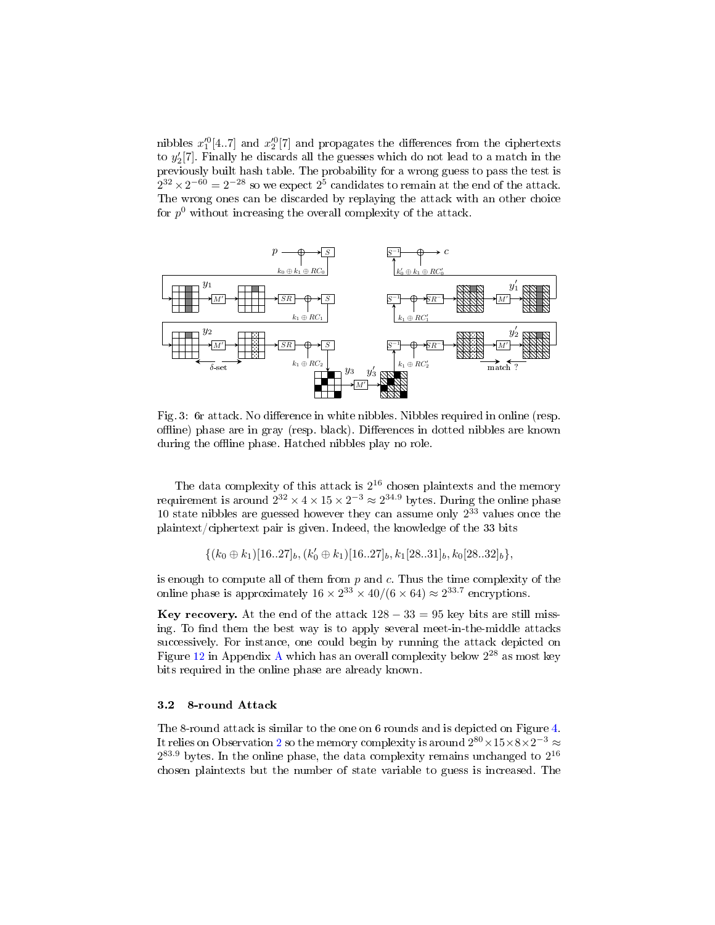nibbles  $x_1^{\prime 0} [4..7]$  and  $x_2^{\prime 0} [7]$  and propagates the differences from the ciphertexts to  $y_2'[7]$ . Finally he discards all the guesses which do not lead to a match in the previously built hash table. The probability for a wrong guess to pass the test is  $2^{32} \times 2^{-60} = 2^{-28}$  so we expect  $2^5$  candidates to remain at the end of the attack. The wrong ones can be discarded by replaying the attack with an other choice for  $p^0$  without increasing the overall complexity of the attack.

<span id="page-6-0"></span>

Fig. 3: 6r attack. No difference in white nibbles. Nibbles required in online (resp. offline) phase are in gray (resp. black). Differences in dotted nibbles are known during the offline phase. Hatched nibbles play no role.

The data complexity of this attack is  $2^{16}$  chosen plaintexts and the memory requirement is around  $2^{32} \times 4 \times 15 \times 2^{-3} \approx 2^{34.9}$  bytes. During the online phase 10 state nibbles are guessed however they can assume only  $2^{33}$  values once the plaintext/ciphertext pair is given. Indeed, the knowledge of the 33 bits

$$
\{(k_0 \oplus k_1)[16..27]_b, (k'_0 \oplus k_1)[16..27]_b, k_1[28..31]_b, k_0[28..32]_b\},\
$$

is enough to compute all of them from  $p$  and  $c$ . Thus the time complexity of the online phase is approximately  $16 \times 2^{33} \times 40/(6 \times 64) \approx 2^{33.7}$  encryptions.

Key recovery. At the end of the attack  $128 - 33 = 95$  key bits are still missing. To find them the best way is to apply several meet-in-the-middle attacks successively. For instance, one could begin by running the attack depicted on Figure [12](#page-26-0) in [A](#page-26-1)ppendix A which has an overall complexity below  $2^{28}$  as most key bits required in the online phase are already known.

#### 3.2 8-round Attack

The 8-round attack is similar to the one on 6 rounds and is depicted on Figure [4.](#page-7-0) It relies on Observation  $2$  so the memory complexity is around  $2^{80} \times 15 \times 8 \times 2^{-3} \approx$  $2^{83.9}$  bytes. In the online phase, the data complexity remains unchanged to  $2^{16}$ chosen plaintexts but the number of state variable to guess is increased. The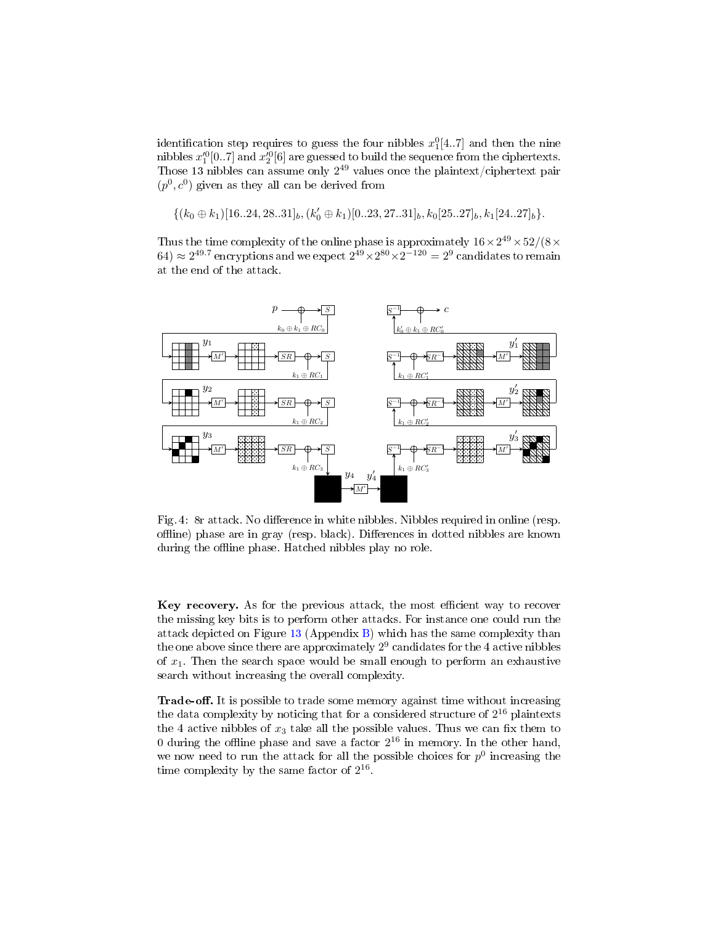identification step requires to guess the four nibbles  $x_1^0[4..7]$  and then the nine nibbles  $x_1^{\prime 0}[0..7]$  and  $x_2^{\prime 0}[6]$  are guessed to build the sequence from the ciphertexts. Those 13 nibbles can assume only  $2^{49}$  values once the plaintext/ciphertext pair  $(p^{0}, c^{0})$  given as they all can be derived from

$$
\{(k_0 \oplus k_1)[16..24, 28..31]_b, (k'_0 \oplus k_1)[0..23, 27..31]_b, k_0[25..27]_b, k_1[24..27]_b\}.
$$

Thus the time complexity of the online phase is approximately  $16 \times 2^{49} \times 52/(8 \times$  $(64) \approx 2^{49.7}$  encryptions and we expect  $2^{49} \times 2^{80} \times 2^{-120} = 2^9$  candidates to remain at the end of the attack.

<span id="page-7-0"></span>

Fig. 4: 8r attack. No difference in white nibbles. Nibbles required in online (resp. offline) phase are in gray (resp. black). Differences in dotted nibbles are known during the offline phase. Hatched nibbles play no role.

Key recovery. As for the previous attack, the most efficient way to recover the missing key bits is to perform other attacks. For instance one could run the attack depicted on Figure  $13$  (Appendix [B\)](#page-26-3) which has the same complexity than the one above since there are approximately  $2^9$  candidates for the 4 active nibbles of  $x_1$ . Then the search space would be small enough to perform an exhaustive search without increasing the overall complexity.

Trade-off. It is possible to trade some memory against time without increasing the data complexity by noticing that for a considered structure of  $2^{16}$  plaintexts the 4 active nibbles of  $x_3$  take all the possible values. Thus we can fix them to 0 during the offline phase and save a factor  $2^{16}$  in memory. In the other hand, we now need to run the attack for all the possible choices for  $p^0$  increasing the time complexity by the same factor of  $2^{16}$ .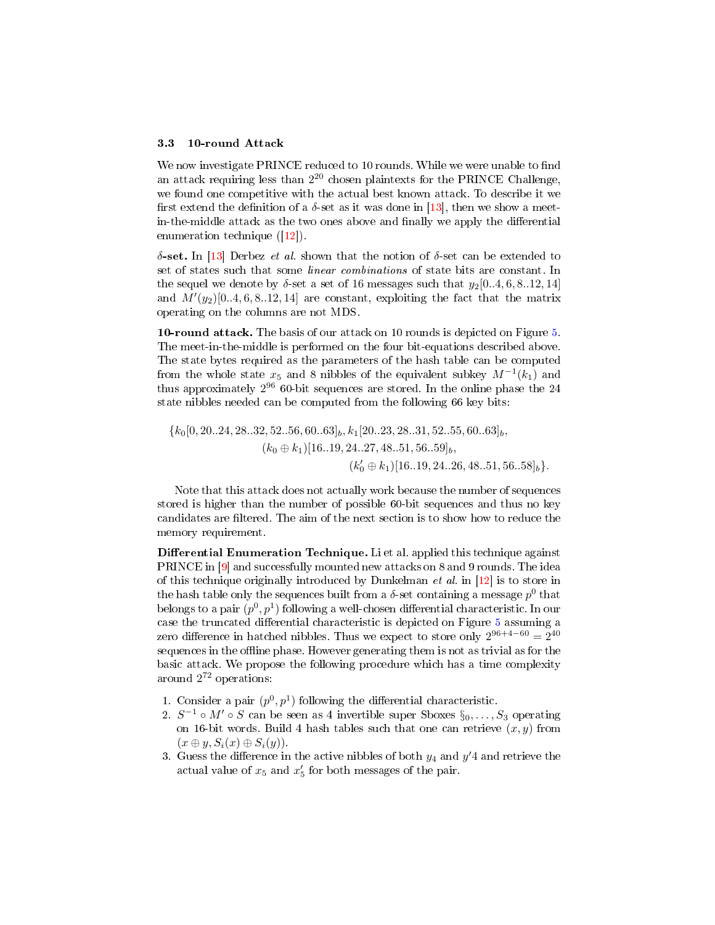#### 3.3 10-round Attack

We now investigate PRINCE reduced to 10 rounds. While we were unable to find an attack requiring less than  $2^{20}$  chosen plaintexts for the PRINCE Challenge, we found one competitive with the actual best known attack. To describe it we first extend the definition of a  $\delta$ -set as it was done in [\[13\]](#page-24-12), then we show a meetin-the-middle attack as the two ones above and finally we apply the differential enumeration technique ([\[12\]](#page-24-11)).

δ-set. In [\[13\]](#page-24-12) Derbez *et al.* shown that the notion of δ-set can be extended to set of states such that some linear combinations of state bits are constant. In the sequel we denote by  $\delta$ -set a set of 16 messages such that  $y_2[0..4, 6, 8..12, 14]$ and  $M'(y_2)[0..4, 6, 8..12, 14]$  are constant, exploiting the fact that the matrix operating on the columns are not MDS.

10-round attack. The basis of our attack on 10 rounds is depicted on Figure [5.](#page-9-0) The meet-in-the-middle is performed on the four bit-equations described above. The state bytes required as the parameters of the hash table can be computed from the whole state  $x_5$  and 8 nibbles of the equivalent subkey  $M^{-1}(k_1)$  and thus approximately  $2^{96}$  60-bit sequences are stored. In the online phase the 24 state nibbles needed can be computed from the following 66 key bits:

$$
{k_0[0, 20..24, 28..32, 52..56, 60..63]_b, k_1[20..23, 28..31, 52..55, 60..63]_b, \n \times (k_0 \oplus k_1)[16..19, 24..27, 48..51, 56..59]_b, \n \times (k'_0 \oplus k_1)[16..19, 24..26, 48..51, 56..58]_b}.
$$

Note that this attack does not actually work because the number of sequences stored is higher than the number of possible 60-bit sequences and thus no key candidates are filtered. The aim of the next section is to show how to reduce the memory requirement.

Differential Enumeration Technique. Li et al. applied this technique against PRINCE in [\[9\]](#page-24-8) and successfully mounted new attacks on 8 and 9 rounds. The idea of this technique originally introduced by Dunkelman *et al.* in  $[12]$  is to store in the hash table only the sequences built from a  $\delta$ -set containing a message  $p^0$  that belongs to a pair  $(p^0, p^1)$  following a well-chosen differential characteristic. In our case the truncated differential characteristic is depicted on Figure  $5$  assuming a zero difference in hatched nibbles. Thus we expect to store only  $2^{96+4-60} = 2^{40}$ sequences in the offline phase. However generating them is not as trivial as for the basic attack. We propose the following procedure which has a time complexity around 2 <sup>72</sup> operations:

- 1. Consider a pair  $(p^0, p^1)$  following the differential characteristic.
- 2.  $S^{-1} \circ M' \circ S$  can be seen as 4 invertible super Sboxes  $\S_0, \ldots, S_3$  operating on 16-bit words. Build 4 hash tables such that one can retrieve  $(x, y)$  from  $(x \oplus y, S_i(x) \oplus S_i(y)).$
- 3. Guess the difference in the active nibbles of both  $y_4$  and  $y'4$  and retrieve the actual value of  $x_5$  and  $x_5'$  for both messages of the pair.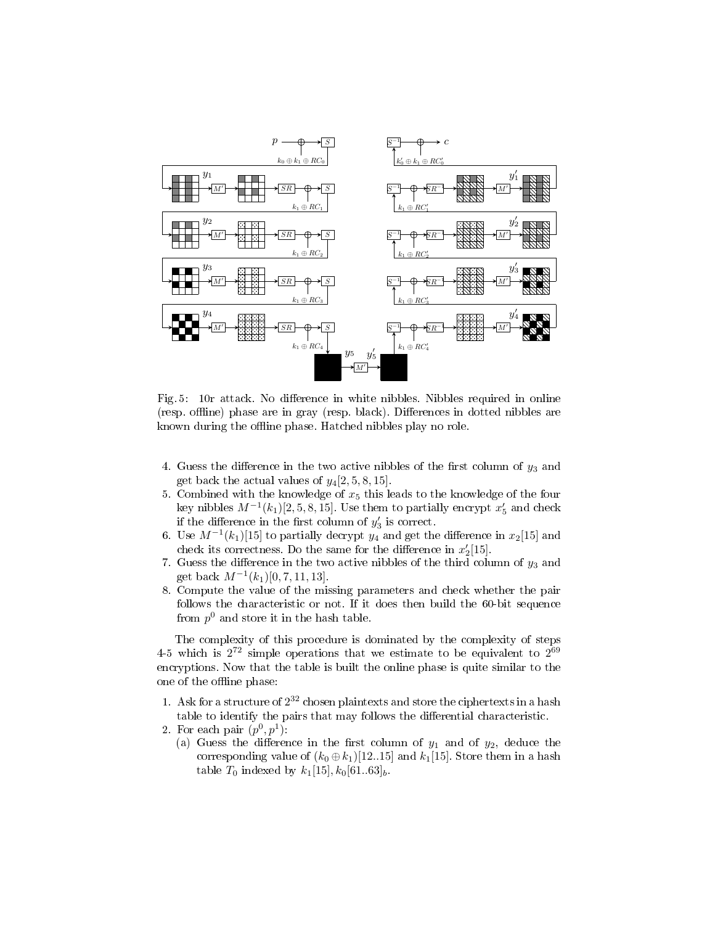<span id="page-9-0"></span>

Fig. 5: 10r attack. No difference in white nibbles. Nibbles required in online (resp. offline) phase are in gray (resp. black). Differences in dotted nibbles are known during the offline phase. Hatched nibbles play no role.

- 4. Guess the difference in the two active nibbles of the first column of  $y_3$  and get back the actual values of  $y_4[2, 5, 8, 15]$ .
- 5. Combined with the knowledge of  $x_5$  this leads to the knowledge of the four key nibbles  $M^{-1}(k_1)[2, 5, 8, 15]$ . Use them to partially encrypt  $x'_5$  and check if the difference in the first column of  $y'_3$  is correct.
- 6. Use  $M^{-1}(k_1)[15]$  to partially decrypt  $y_4$  and get the difference in  $x_2[15]$  and check its correctness. Do the same for the difference in  $x_2'[15]$ .
- 7. Guess the difference in the two active nibbles of the third column of  $y_3$  and get back  $M^{-1}(k_1)[0, 7, 11, 13]$ .
- 8. Compute the value of the missing parameters and check whether the pair follows the characteristic or not. If it does then build the 60-bit sequence from  $p^0$  and store it in the hash table.

The complexity of this procedure is dominated by the complexity of steps 4-5 which is  $2^{72}$  simple operations that we estimate to be equivalent to  $2^{69}$ encryptions. Now that the table is built the online phase is quite similar to the one of the offline phase:

- 1. Ask for a structure of  $2^{32}$  chosen plaintexts and store the ciphertexts in a hash table to identify the pairs that may follows the differential characteristic.
- 2. For each pair  $(p^0, p^1)$ :
	- (a) Guess the difference in the first column of  $y_1$  and of  $y_2$ , deduce the corresponding value of  $(k_0 \oplus k_1)[12..15]$  and  $k_1[15]$ . Store them in a hash table  $T_0$  indexed by  $k_1[15], k_0[61..63]_b$ .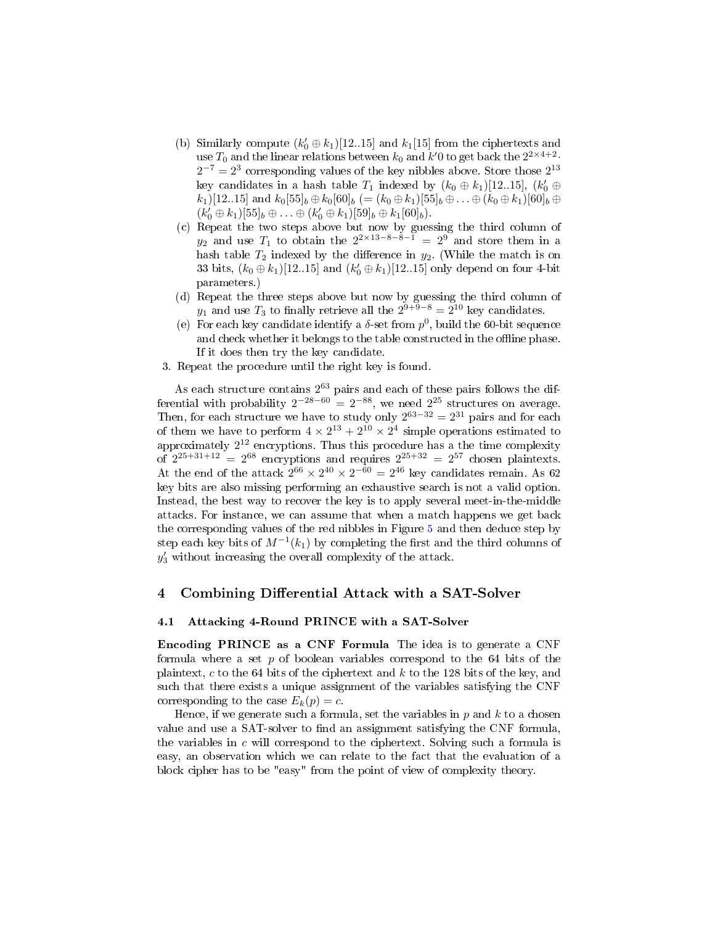- (b) Similarly compute  $(k'_0 \oplus k_1)$ [12..15] and  $k_1$ [15] from the ciphertexts and use  $T_0$  and the linear relations between  $k_0$  and  $k'$ 0 to get back the  $2^{2 \times 4+2}$ .  $2^{-7} = 2^3$  corresponding values of the key nibbles above. Store those  $2^{13}$ key candidates in a hash table  $T_1$  indexed by  $(k_0 \oplus k_1)[12..15]$ ,  $(k'_0 \oplus$  $(k_1)[12..15]$  and  $k_0[55]_b \oplus k_0[60]_b (= (k_0 \oplus k_1)[55]_b \oplus \ldots \oplus (k_0 \oplus k_1)[60]_b \oplus$  $(k'_0 \oplus k_1)[55]_b \oplus \ldots \oplus (k'_0 \oplus k_1)[59]_b \oplus k_1[60]_b).$
- (c) Repeat the two steps above but now by guessing the third column of  $y_2$  and use  $T_1$  to obtain the  $2^{2\times 13-8-8-1} = 2^9$  and store them in a hash table  $T_2$  indexed by the difference in  $y_2$ . (While the match is on 33 bits,  $(k_0 \oplus k_1)$ [12..15] and  $(k'_0 \oplus k_1)$ [12..15] only depend on four 4-bit parameters.)
- (d) Repeat the three steps above but now by guessing the third column of  $y_1$  and use  $T_3$  to finally retrieve all the  $2^{9+9-8} = 2^{10}$  key candidates.
- (e) For each key candidate identify a  $\delta$ -set from  $p^0$ , build the 60-bit sequence and check whether it belongs to the table constructed in the offline phase. If it does then try the key candidate.
- 3. Repeat the procedure until the right key is found.

As each structure contains  $2^{63}$  pairs and each of these pairs follows the differential with probability  $2^{-28-60} = 2^{-88}$ , we need  $2^{25}$  structures on average. Then, for each structure we have to study only  $2^{63-32} = 2^{31}$  pairs and for each of them we have to perform  $4 \times 2^{13} + 2^{10} \times 2^4$  simple operations estimated to approximately  $2^{12}$  encryptions. Thus this procedure has a the time complexity of  $2^{25+31+12} = 2^{68}$  encryptions and requires  $2^{25+32} = 2^{57}$  chosen plaintexts. At the end of the attack  $2^{66} \times 2^{40} \times 2^{-60} = 2^{46}$  key candidates remain. As 62 key bits are also missing performing an exhaustive search is not a valid option. Instead, the best way to recover the key is to apply several meet-in-the-middle attacks. For instance, we can assume that when a match happens we get back the corresponding values of the red nibbles in Figure [5](#page-9-0) and then deduce step by step each key bits of  $M^{-1}(k_1)$  by completing the first and the third columns of  $y'_3$  without increasing the overall complexity of the attack.

### <span id="page-10-0"></span>4 Combining Differential Attack with a SAT-Solver

#### 4.1 Attacking 4-Round PRINCE with a SAT-Solver

Encoding PRINCE as a CNF Formula The idea is to generate a CNF formula where a set p of boolean variables correspond to the 64 bits of the plaintext, c to the 64 bits of the ciphertext and  $k$  to the 128 bits of the key, and such that there exists a unique assignment of the variables satisfying the CNF corresponding to the case  $E_k(p) = c$ .

Hence, if we generate such a formula, set the variables in  $p$  and  $k$  to a chosen value and use a SAT-solver to find an assignment satisfying the CNF formula, the variables in  $c$  will correspond to the ciphertext. Solving such a formula is easy, an observation which we can relate to the fact that the evaluation of a block cipher has to be "easy" from the point of view of complexity theory.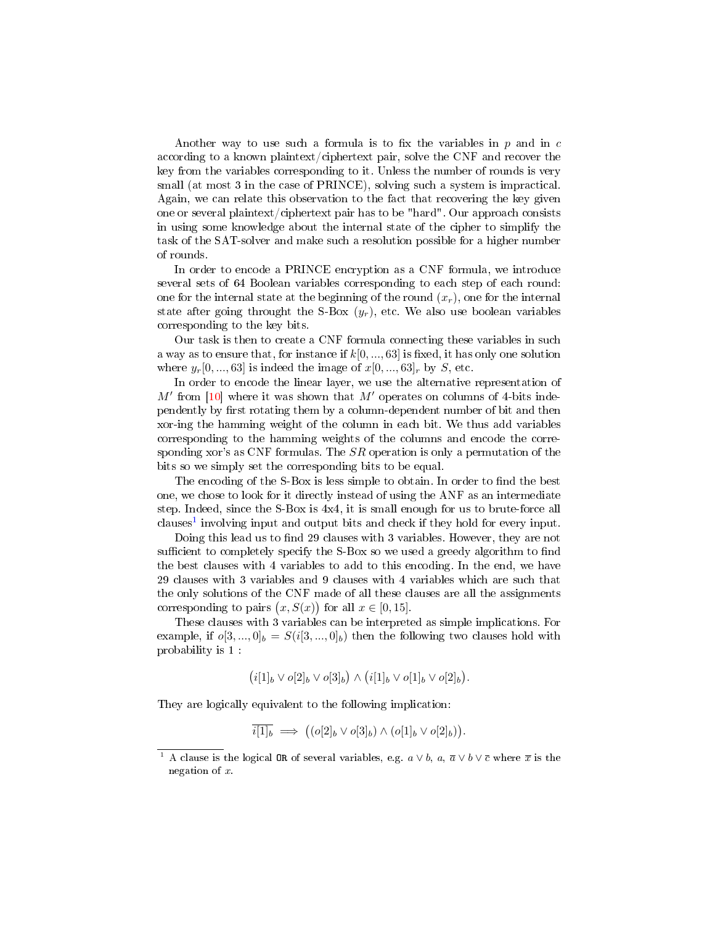Another way to use such a formula is to fix the variables in  $p$  and in  $c$ according to a known plaintext/ciphertext pair, solve the CNF and recover the key from the variables corresponding to it. Unless the number of rounds is very small (at most 3 in the case of PRINCE), solving such a system is impractical. Again, we can relate this observation to the fact that recovering the key given one or several plaintext/ciphertext pair has to be "hard". Our approach consists in using some knowledge about the internal state of the cipher to simplify the task of the SAT-solver and make such a resolution possible for a higher number of rounds.

In order to encode a PRINCE encryption as a CNF formula, we introduce several sets of 64 Boolean variables corresponding to each step of each round: one for the internal state at the beginning of the round  $(x_r)$ , one for the internal state after going throught the S-Box  $(y_r)$ , etc. We also use boolean variables corresponding to the key bits.

Our task is then to create a CNF formula connecting these variables in such a way as to ensure that, for instance if  $k[0, ..., 63]$  is fixed, it has only one solution where  $y_r[0, ..., 63]$  is indeed the image of  $x[0, ..., 63]_r$  by S, etc.

In order to encode the linear layer, we use the alternative representation of  $M'$  from [\[10\]](#page-24-9) where it was shown that  $M'$  operates on columns of 4-bits independently by first rotating them by a column-dependent number of bit and then xor-ing the hamming weight of the column in each bit. We thus add variables corresponding to the hamming weights of the columns and encode the corresponding xor's as CNF formulas. The  $SR$  operation is only a permutation of the bits so we simply set the corresponding bits to be equal.

The encoding of the S-Box is less simple to obtain. In order to find the best one, we chose to look for it directly instead of using the ANF as an intermediate step. Indeed, since the S-Box is 4x4, it is small enough for us to brute-force all clauses<sup>[1](#page-11-0)</sup> involving input and output bits and check if they hold for every input.

Doing this lead us to find 29 clauses with 3 variables. However, they are not sufficient to completely specify the S-Box so we used a greedy algorithm to find the best clauses with 4 variables to add to this encoding. In the end, we have 29 clauses with 3 variables and 9 clauses with 4 variables which are such that the only solutions of the CNF made of all these clauses are all the assignments corresponding to pairs  $(x, S(x))$  for all  $x \in [0, 15]$ .

These clauses with 3 variables can be interpreted as simple implications. For example, if  $o[3, ..., 0]_b = S(i[3, ..., 0]_b)$  then the following two clauses hold with probability is 1 :

$$
(i[1]_b \vee o[2]_b \vee o[3]_b) \wedge (i[1]_b \vee o[1]_b \vee o[2]_b).
$$

They are logically equivalent to the following implication:

$$
\overline{i[1]_b} \implies ((o[2]_b \vee o[3]_b) \wedge (o[1]_b \vee o[2]_b)).
$$

<span id="page-11-0"></span><sup>&</sup>lt;sup>1</sup> A clause is the logical OR of several variables, e.g.  $a \vee b$ ,  $a, \overline{a} \vee b \vee \overline{c}$  where  $\overline{x}$  is the negation of x.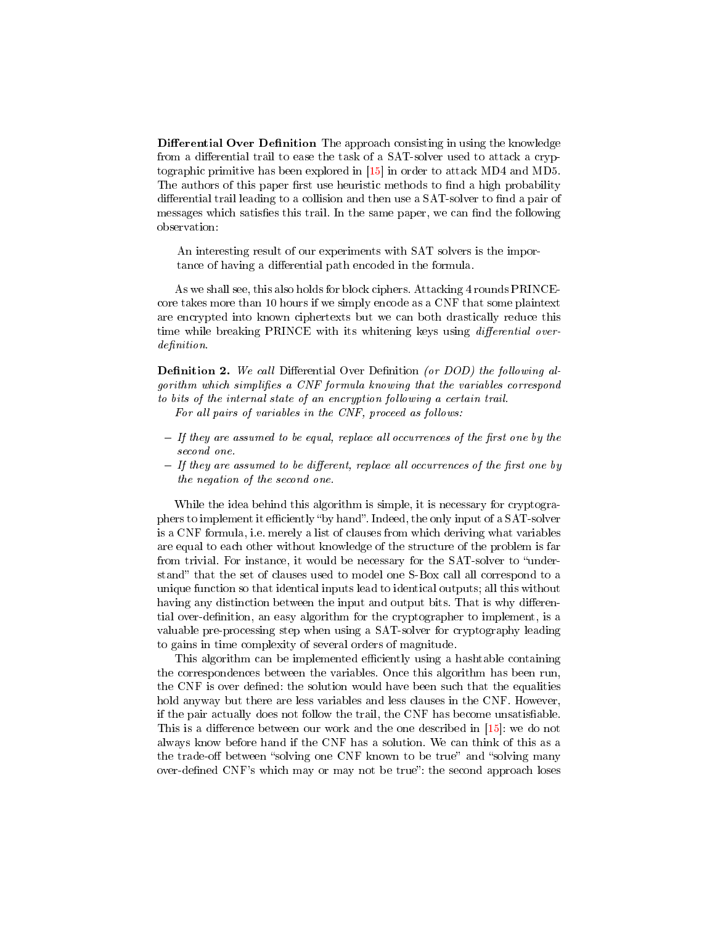**Differential Over Definition** The approach consisting in using the knowledge from a differential trail to ease the task of a SAT-solver used to attack a cryptographic primitive has been explored in [\[15\]](#page-25-1) in order to attack MD4 and MD5. The authors of this paper first use heuristic methods to find a high probability differential trail leading to a collision and then use a SAT-solver to find a pair of messages which satisfies this trail. In the same paper, we can find the following observation:

An interesting result of our experiments with SAT solvers is the importance of having a differential path encoded in the formula.

As we shall see, this also holds for block ciphers. Attacking 4 rounds PRINCEcore takes more than 10 hours if we simply encode as a CNF that some plaintext are encrypted into known ciphertexts but we can both drastically reduce this time while breaking PRINCE with its whitening keys using *differential over*definition.

**Definition 2.** We call Differential Over Definition (or DOD) the following algorithm which simplifies a CNF formula knowing that the variables correspond to bits of the internal state of an encryption following a certain trail. For all pairs of variables in the CNF, proceed as follows:

- $-I$  If they are assumed to be equal, replace all occurrences of the first one by the second one.
- $-I$  If they are assumed to be different, replace all occurrences of the first one by the negation of the second one.

While the idea behind this algorithm is simple, it is necessary for cryptographers to implement it efficiently "by hand". Indeed, the only input of a SAT-solver is a CNF formula, i.e. merely a list of clauses from which deriving what variables are equal to each other without knowledge of the structure of the problem is far from trivial. For instance, it would be necessary for the SAT-solver to "understand" that the set of clauses used to model one S-Box call all correspond to a unique function so that identical inputs lead to identical outputs; all this without having any distinction between the input and output bits. That is why differential over-definition, an easy algorithm for the cryptographer to implement, is a valuable pre-processing step when using a SAT-solver for cryptography leading to gains in time complexity of several orders of magnitude.

This algorithm can be implemented efficiently using a hashtable containing the correspondences between the variables. Once this algorithm has been run, the CNF is over defined: the solution would have been such that the equalities hold anyway but there are less variables and less clauses in the CNF. However, if the pair actually does not follow the trail, the CNF has become unsatisable. This is a difference between our work and the one described in  $[15]$ : we do not always know before hand if the CNF has a solution. We can think of this as a the trade-off between "solving one CNF known to be true" and "solving many over-defined CNF's which may or may not be true": the second approach loses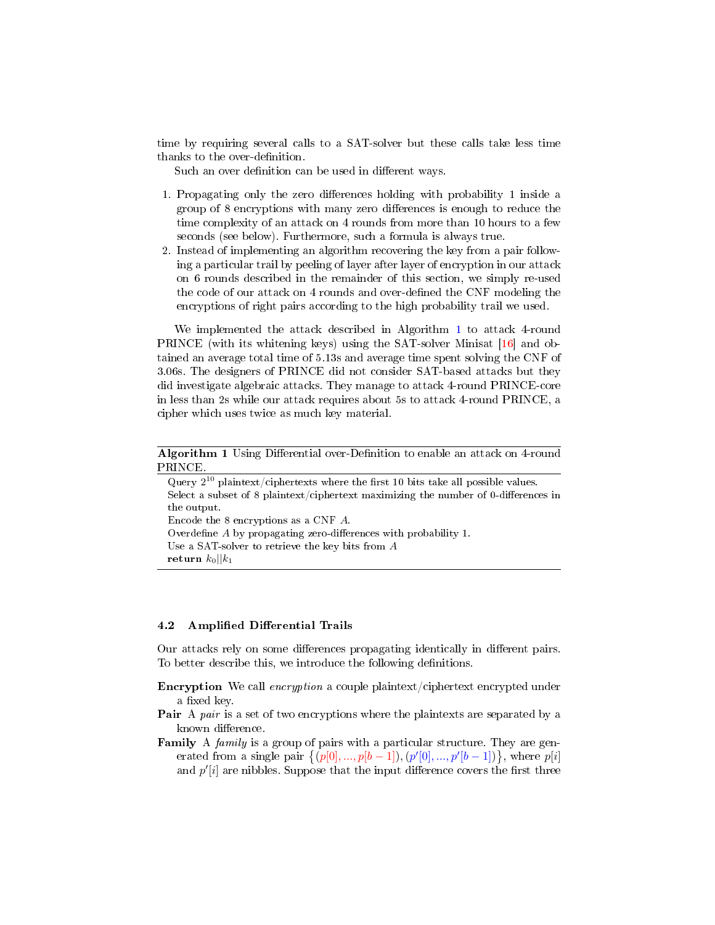time by requiring several calls to a SAT-solver but these calls take less time thanks to the over-definition.

Such an over definition can be used in different ways.

- 1. Propagating only the zero differences holding with probability 1 inside a group of 8 encryptions with many zero differences is enough to reduce the time complexity of an attack on 4 rounds from more than 10 hours to a few seconds (see below). Furthermore, such a formula is always true.
- 2. Instead of implementing an algorithm recovering the key from a pair following a particular trail by peeling of layer after layer of encryption in our attack on 6 rounds described in the remainder of this section, we simply re-used the code of our attack on 4 rounds and over-defined the CNF modeling the encryptions of right pairs according to the high probability trail we used.

We implemented the attack described in Algorithm [1](#page-13-0) to attack 4-round PRINCE (with its whitening keys) using the SAT-solver Minisat [\[16\]](#page-25-2) and obtained an average total time of 5.13s and average time spent solving the CNF of 3.06s. The designers of PRINCE did not consider SAT-based attacks but they did investigate algebraic attacks. They manage to attack 4-round PRINCE-core in less than 2s while our attack requires about 5s to attack 4-round PRINCE, a cipher which uses twice as much key material.

<span id="page-13-0"></span>Algorithm 1 Using Differential over-Definition to enable an attack on 4-round **PRINCE** 

| Query $2^{10}$ plaintext/ciphertexts where the first 10 bits take all possible values. |
|----------------------------------------------------------------------------------------|
| Select a subset of 8 plaintext/ciphertext maximizing the number of 0-differences in    |
| the output.                                                                            |
| Encode the 8 encryptions as a CNF A.                                                   |
| Overdefine A by propagating zero-differences with probability 1.                       |
| Use a SAT-solver to retrieve the key bits from $A$                                     |
| return $k_0$    $k_1$                                                                  |

#### 4.2 Amplified Differential Trails

Our attacks rely on some differences propagating identically in different pairs. To better describe this, we introduce the following definitions.

- Encryption We call *encryption* a couple plaintext/ciphertext encrypted under a fixed key.
- **Pair** A pair is a set of two encryptions where the plaintexts are separated by a known difference.
- **Family** A family is a group of pairs with a particular structure. They are generated from a single pair  $\{(p[0],...,p[b-1]),(p'[0],...,p'[b-1])\},\$  where  $p[i]$ and  $p'[i]$  are nibbles. Suppose that the input difference covers the first three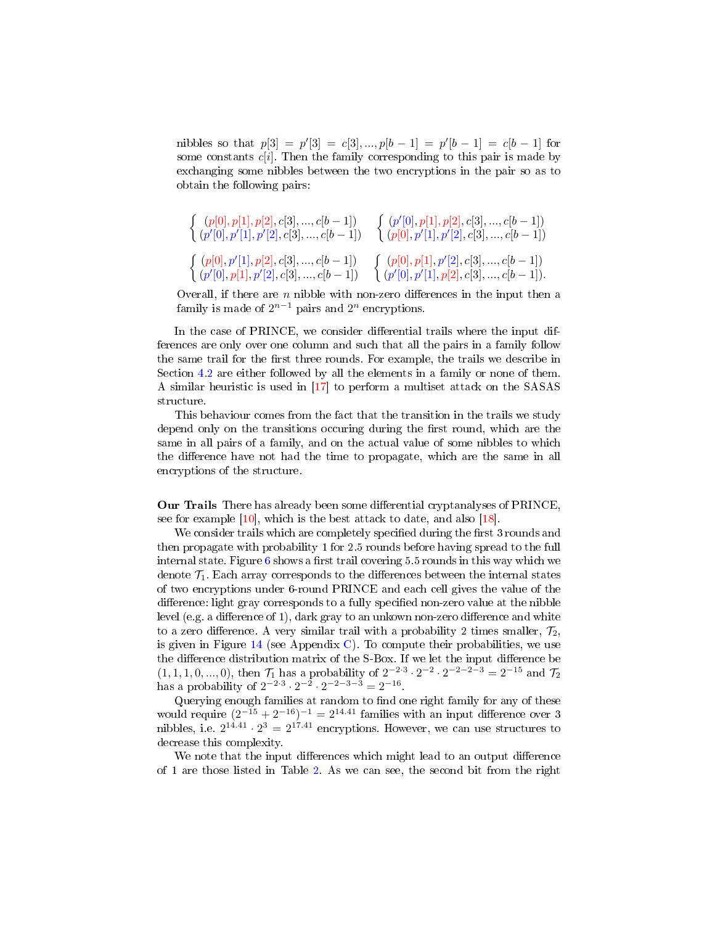nibbles so that  $p[3] = p'[3] = c[3], ..., p[b-1] = p'[b-1] = c[b-1]$  for some constants  $c[i]$ . Then the family corresponding to this pair is made by exchanging some nibbles between the two encryptions in the pair so as to obtain the following pairs:

$$
\left\{ \begin{array}{ll} (p[0], p[1], p[2], c[3], ..., c[b-1]) \\ (p'[0], p'[1], p'[2], c[3], ..., c[b-1]) \end{array} \right. \left\{ \begin{array}{ll} (p'[0], p[1], p[2], c[3], ..., c[b-1]) \\ (p[0], p'[1], p'[2], c[3], ..., c[b-1]) \end{array} \right. \\ \left\{ \begin{array}{ll} (p[0], p'[1], p[2], c[3], ..., c[b-1]) \\ (p'[0], p[1], p'[2], c[3], ..., c[b-1]) \end{array} \right. \left\{ \begin{array}{ll} (p[0], p[1], p'[2], c[3], ..., c[b-1]) \\ (p'[0], p'[1], p[2], c[3], ..., c[b-1]) \end{array} \right. \right\}
$$

Overall, if there are  $n$  nibble with non-zero differences in the input then a family is made of  $2^{n-1}$  pairs and  $2^n$  encryptions.

In the case of PRINCE, we consider differential trails where the input differences are only over one column and such that all the pairs in a family follow the same trail for the first three rounds. For example, the trails we describe in Section [4.2](#page-14-0) are either followed by all the elements in a family or none of them. A similar heuristic is used in [\[17\]](#page-25-3) to perform a multiset attack on the SASAS structure.

This behaviour comes from the fact that the transition in the trails we study depend only on the transitions occuring during the first round, which are the same in all pairs of a family, and on the actual value of some nibbles to which the difference have not had the time to propagate, which are the same in all encryptions of the structure.

<span id="page-14-0"></span>Our Trails There has already been some differential cryptanalyses of PRINCE, see for example  $[10]$ , which is the best attack to date, and also  $[18]$ .

We consider trails which are completely specified during the first 3 rounds and then propagate with probability 1 for 2.5 rounds before having spread to the full internal state. Figure  $6$  shows a first trail covering 5.5 rounds in this way which we denote  $\mathcal{T}_1$ . Each array corresponds to the differences between the internal states of two encryptions under 6-round PRINCE and each cell gives the value of the difference: light gray corresponds to a fully specified non-zero value at the nibble level (e.g. a difference of 1), dark gray to an unkown non-zero difference and white to a zero difference. A very similar trail with a probability 2 times smaller,  $\mathcal{T}_2$ , is given in Figure  $14$  (see Appendix [C\)](#page-27-1). To compute their probabilities, we use the difference distribution matrix of the S-Box. If we let the input difference be  $(1, 1, 1, 0, ..., 0)$ , then  $\mathcal{T}_1$  has a probability of  $2^{-2 \cdot 3} \cdot 2^{-2} \cdot 2^{-2-2-3} = 2^{-15}$  and  $\mathcal{T}_2$ has a probability of  $2^{-2\cdot3} \cdot 2^{-2} \cdot 2^{-2-3-3} = 2^{-16}$ .

Querying enough families at random to find one right family for any of these would require  $(2^{-15} + 2^{-16})^{-1} = 2^{14.41}$  families with an input difference over 3 nibbles, i.e.  $2^{14.41} \cdot 2^3 = 2^{17.41}$  encryptions. However, we can use structures to decrease this complexity.

We note that the input differences which might lead to an output difference of 1 are those listed in Table [2.](#page-16-1) As we can see, the second bit from the right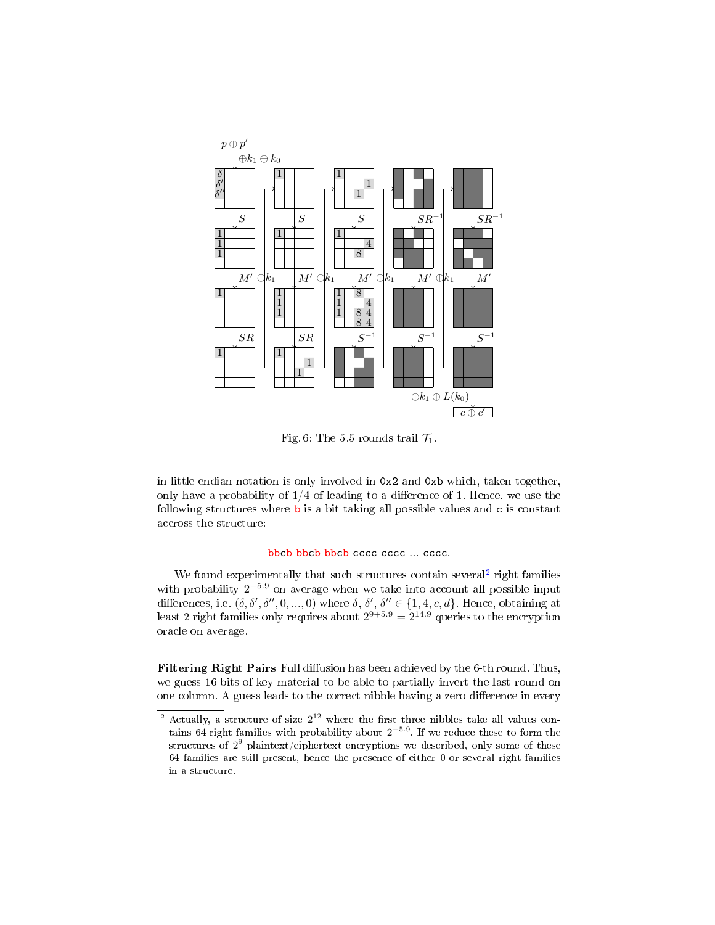<span id="page-15-0"></span>

Fig. 6: The 5.5 rounds trail  $\mathcal{T}_1$ .

in little-endian notation is only involved in 0x2 and 0xb which, taken together, only have a probability of  $1/4$  of leading to a difference of 1. Hence, we use the following structures where  $\mathbf b$  is a bit taking all possible values and  $\mathbf c$  is constant accross the structure:

### bbcb bbcb bbcb cccc cccc ... cccc.

We found experimentally that such structures contain several<sup>[2](#page-15-1)</sup> right families with probability  $2^{-5.9}$  on average when we take into account all possible input differences, i.e.  $(\delta, \delta', \delta'', 0, ..., 0)$  where  $\delta, \delta', \delta'' \in \{1, 4, c, d\}$ . Hence, obtaining at least 2 right families only requires about  $2^{9+5.9} = 2^{14.9}$  queries to the encryption oracle on average.

Filtering Right Pairs Full diffusion has been achieved by the 6-th round. Thus, we guess 16 bits of key material to be able to partially invert the last round on one column. A guess leads to the correct nibble having a zero difference in every

<span id="page-15-1"></span><sup>&</sup>lt;sup>2</sup> Actually, a structure of size  $2^{12}$  where the first three nibbles take all values contains 64 right families with probability about  $2^{-5.9}$ . If we reduce these to form the structures of  $2^9$  plaintext/ciphertext encryptions we described, only some of these 64 families are still present, hence the presence of either 0 or several right families in a structure.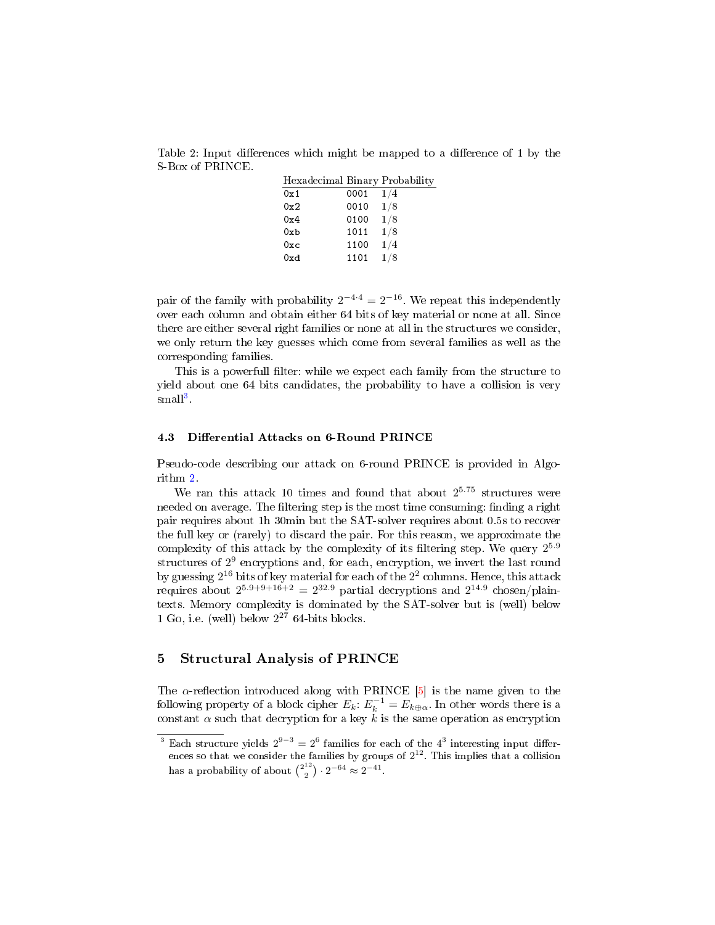<span id="page-16-1"></span>Table 2: Input differences which might be mapped to a difference of 1 by the S-Box of PRINCE.

| 1/4<br>0001<br>0x1<br>1/8<br>0010<br>0x2<br>1/8<br>0100<br>0x4<br>1/8<br>1011<br>0xb<br>1/4<br>1100<br>0xc<br>1/8<br>1101<br>0xd | Hexadecimal Binary Probability |  |
|----------------------------------------------------------------------------------------------------------------------------------|--------------------------------|--|
|                                                                                                                                  |                                |  |
|                                                                                                                                  |                                |  |
|                                                                                                                                  |                                |  |
|                                                                                                                                  |                                |  |
|                                                                                                                                  |                                |  |
|                                                                                                                                  |                                |  |

pair of the family with probability  $2^{-4\cdot 4} = 2^{-16}$ . We repeat this independently over each column and obtain either 64 bits of key material or none at all. Since there are either several right families or none at all in the structures we consider, we only return the key guesses which come from several families as well as the corresponding families.

This is a powerfull filter: while we expect each family from the structure to yield about one 64 bits candidates, the probability to have a collision is very  $\mathrm{small}^3$  $\mathrm{small}^3$ 

### 4.3 Differential Attacks on 6-Round PRINCE

Pseudo-code describing our attack on 6-round PRINCE is provided in Algorithm [2.](#page-17-0)

We ran this attack 10 times and found that about  $2^{5.75}$  structures were needed on average. The filtering step is the most time consuming: finding a right pair requires about 1h 30min but the SAT-solver requires about 0.5s to recover the full key or (rarely) to discard the pair. For this reason, we approximate the complexity of this attack by the complexity of its filtering step. We query  $2^{5.9}$ structures of 2 9 encryptions and, for each, encryption, we invert the last round by guessing  $2^{16}$  bits of key material for each of the  $2^2$  columns. Hence, this attack requires about  $2^{5.9+9+16+2} = 2^{32.9}$  partial decryptions and  $2^{14.9}$  chosen/plaintexts. Memory complexity is dominated by the SAT-solver but is (well) below 1 Go, i.e. (well) below  $2^{27}$  64-bits blocks.

### <span id="page-16-0"></span>5 Structural Analysis of PRINCE

The  $\alpha$ -reflection introduced along with PRINCE [\[5\]](#page-24-4) is the name given to the following property of a block cipher  $E_k$ :  $E_k^{-1} = E_{k \oplus \alpha}$ . In other words there is a constant  $\alpha$  such that decryption for a key k is the same operation as encryption

<span id="page-16-2"></span><sup>&</sup>lt;sup>3</sup> Each structure yields  $2^{9-3} = 2^6$  families for each of the  $4^3$  interesting input differences so that we consider the families by groups of  $2^{12}$ . This implies that a collision has a probability of about  $\binom{2^{12}}{2}$  $\binom{12}{2} \cdot 2^{-64} \approx 2^{-41}.$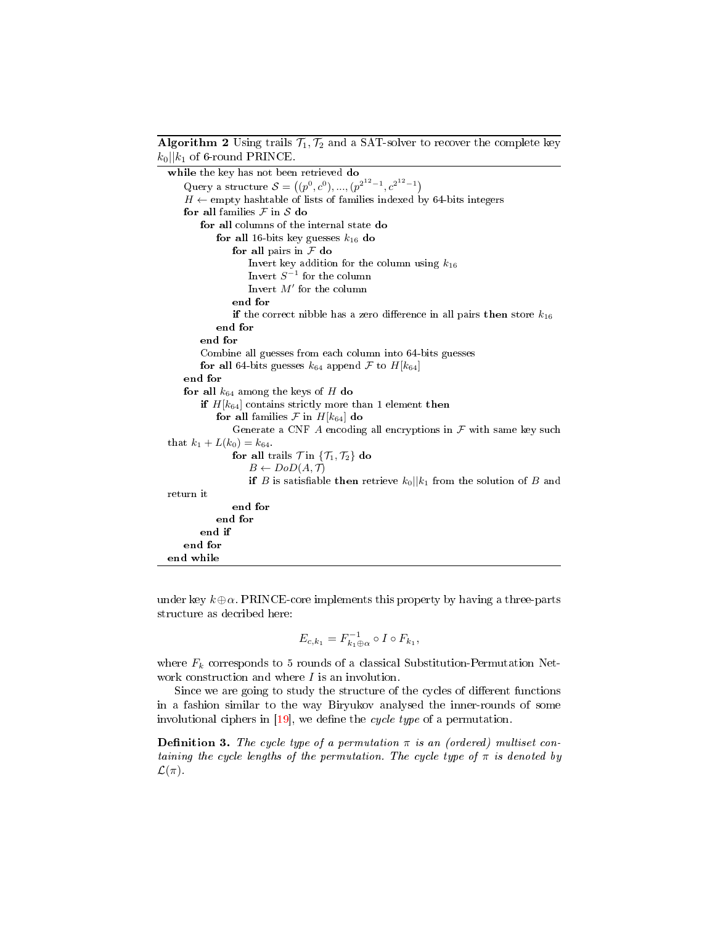<span id="page-17-0"></span>**Algorithm 2** Using trails  $\mathcal{T}_1, \mathcal{T}_2$  and a SAT-solver to recover the complete key  $k_0$ || $k_1$  of 6-round PRINCE.

while the key has not been retrieved do Query a structure  $S = ((p^0, c^0), ..., (p^{2^{12}-1}, c^{2^{12}-1})$  $H \leftarrow$  empty hashtable of lists of families indexed by 64-bits integers for all families  $F$  in  $S$  do for all columns of the internal state do for all 16-bits key guesses  $k_{16}$  do for all pairs in  $\mathcal F$  do Invert key addition for the column using  $k_{16}$ Invert  $S^{-1}$  for the column Invert  $M'$  for the column end for if the correct nibble has a zero difference in all pairs then store  $k_{16}$ end for end for Combine all guesses from each column into 64-bits guesses for all 64-bits guesses  $k_{64}$  append F to  $H[k_{64}]$ end for for all  $k_{64}$  among the keys of H do if  $H[k_{64}]$  contains strictly more than 1 element then for all families  $\mathcal F$  in  $H[k_{64}]$  do Generate a CNF  $A$  encoding all encryptions in  $\mathcal F$  with same key such that  $k_1 + L(k_0) = k_{64}$ . for all trails  $\mathcal{T}$  in  $\{\mathcal{T}_1, \mathcal{T}_2\}$  do  $B \leftarrow DoD(A, \mathcal{T})$ if B is satisfiable then retrieve  $k_0||k_1$  from the solution of B and return it end for end for end if end for end while

under key  $k \oplus \alpha$ . PRINCE-core implements this property by having a three-parts structure as decribed here:

$$
E_{c,k_1} = F_{k_1 \oplus \alpha}^{-1} \circ I \circ F_{k_1},
$$

where  $F_k$  corresponds to 5 rounds of a classical Substitution-Permutation Network construction and where  $I$  is an involution.

Since we are going to study the structure of the cycles of different functions in a fashion similar to the way Biryukov analysed the inner-rounds of some involutional ciphers in  $[19]$ , we define the *cycle type* of a permutation.

**Definition 3.** The cycle type of a permutation  $\pi$  is an (ordered) multiset containing the cycle lengths of the permutation. The cycle type of  $\pi$  is denoted by  $\mathcal{L}(\pi)$ .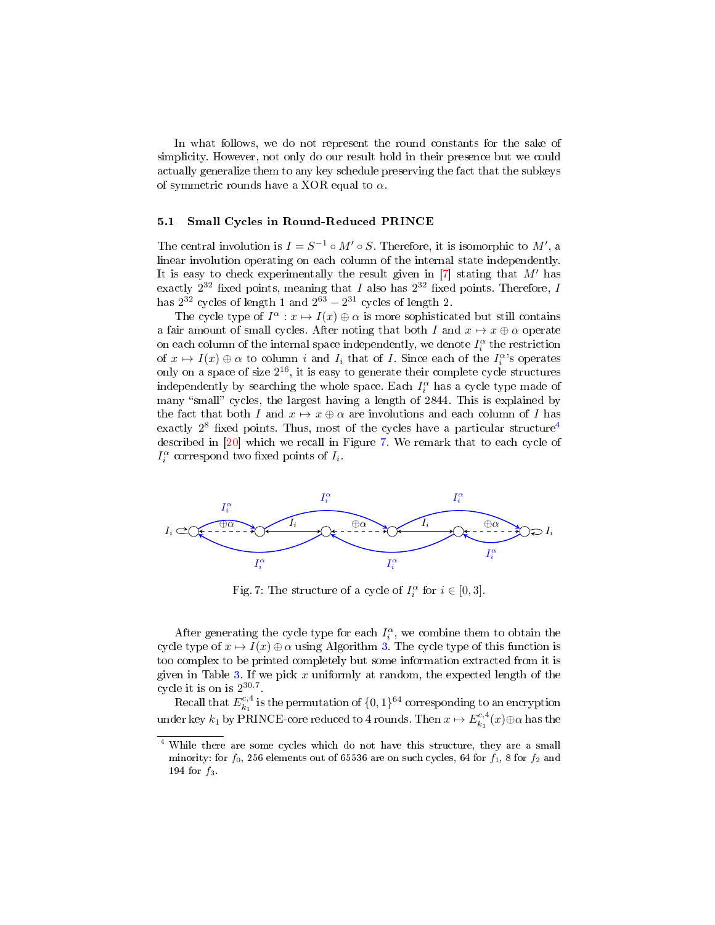In what follows, we do not represent the round constants for the sake of simplicity. However, not only do our result hold in their presence but we could actually generalize them to any key schedule preserving the fact that the subkeys of symmetric rounds have a XOR equal to  $\alpha$ .

### 5.1 Small Cycles in Round-Reduced PRINCE

The central involution is  $I = S^{-1} \circ M' \circ S$ . Therefore, it is isomorphic to  $M'$ , a linear involution operating on each column of the internal state independently. It is easy to check experimentally the result given in  $[7]$  stating that M' has exactly  $2^{32}$  fixed points, meaning that I also has  $2^{32}$  fixed points. Therefore, I has  $2^{32}$  cycles of length 1 and  $2^{63} - 2^{31}$  cycles of length 2.

The cycle type of  $I^{\alpha}: x \mapsto I(x) \oplus \alpha$  is more sophisticated but still contains a fair amount of small cycles. After noting that both I and  $x \mapsto x \oplus \alpha$  operate on each column of the internal space independently, we denote  $I_i^{\alpha}$  the restriction of  $x \mapsto I(x) \oplus \alpha$  to column i and  $I_i$  that of I. Since each of the  $I_i^{\alpha}$ 's operates only on a space of size  $2^{16}$ , it is easy to generate their complete cycle structures independently by searching the whole space. Each  $I_i^{\alpha}$  has a cycle type made of many "small" cycles, the largest having a length of 2844. This is explained by the fact that both I and  $x \mapsto x \oplus \alpha$  are involutions and each column of I has exactly  $2^8$  fixed points. Thus, most of the cycles have a particular structure<sup>[4](#page-18-0)</sup> described in [\[20\]](#page-25-6) which we recall in Figure [7.](#page-18-1) We remark that to each cycle of  $I_i^{\alpha}$  correspond two fixed points of  $I_i$ .

<span id="page-18-1"></span>

Fig. 7: The structure of a cycle of  $I_i^{\alpha}$  for  $i \in [0,3]$ .

After generating the cycle type for each  $I_i^{\alpha}$ , we combine them to obtain the cycle type of  $x \mapsto I(x) \oplus \alpha$  using Algorithm [3.](#page-19-0) The cycle type of this function is too complex to be printed completely but some information extracted from it is given in Table [3.](#page-19-1) If we pick x uniformly at random, the expected length of the cycle it is on is  $2^{30.7}$ .

Recall that  $E_{k_1}^{c,4}$  is the permutation of  $\{0,1\}^{64}$  corresponding to an encryption under key  $k_1$  by PRINCE-core reduced to 4 rounds. Then  $x \mapsto E_{k_1}^{c,4}(x) \oplus \alpha$  has the

<span id="page-18-0"></span>While there are some cycles which do not have this structure, they are a small minority: for  $f_0$ , 256 elements out of 65536 are on such cycles, 64 for  $f_1$ , 8 for  $f_2$  and 194 for  $f_3$ .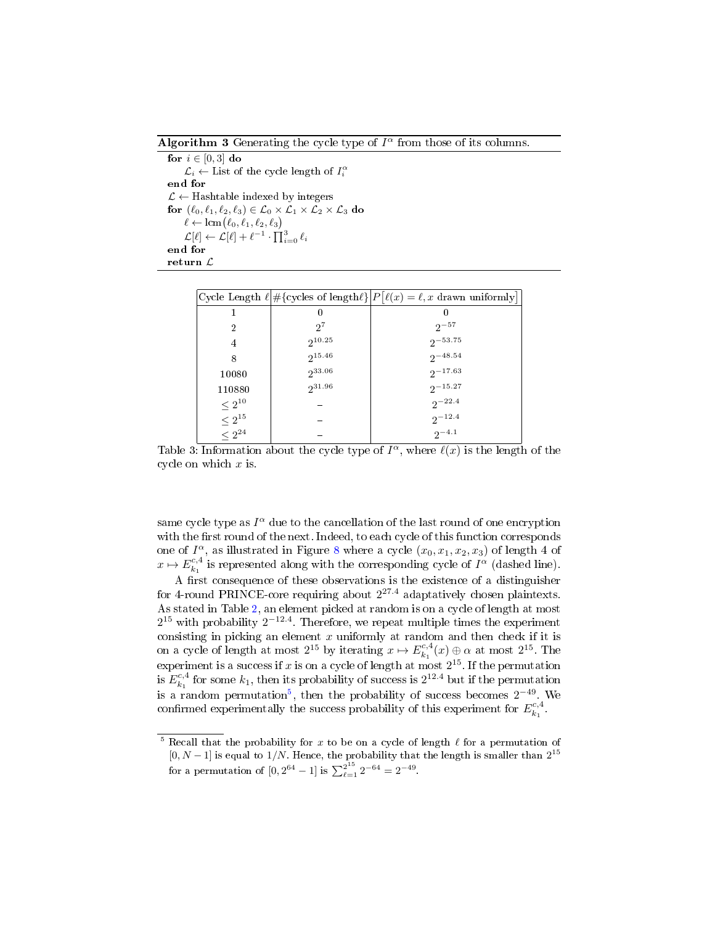<span id="page-19-0"></span>Algorithm 3 Generating the cycle type of  $I^{\alpha}$  from those of its columns.

for  $i \in [0,3]$  do  $\mathcal{L}_i \leftarrow$  List of the cycle length of  $I_i^{\alpha}$ end for  $\mathcal{L} \leftarrow$  Hashtable indexed by integers for  $(\ell_0, \ell_1, \ell_2, \ell_3) \in \mathcal{L}_0 \times \mathcal{L}_1 \times \mathcal{L}_2 \times \mathcal{L}_3$  do  $\ell \leftarrow \operatorname{lcm}(\ell_0, \ell_1, \ell_2, \ell_3)$  $\mathcal{L}[\ell] \leftarrow \mathcal{L}[\ell] + \ell^{-1} \cdot \prod_{i=0}^3 \ell_i$ end for return L

<span id="page-19-1"></span>

|               |             | Cycle Length $\ell$ #{cycles of length $\ell$ } $P \ell(x) = \ell, x$ drawn uniformly |
|---------------|-------------|---------------------------------------------------------------------------------------|
|               | O           | 0                                                                                     |
| 2             | $2^7$       | $2^{-57}$                                                                             |
| 4             | $2^{10.25}$ | $2^{-53.75}$                                                                          |
| 8             | $2^{15.46}$ | $2^{-48.54}$                                                                          |
| 10080         | $2^{33.06}$ | $2^{-17.63}$                                                                          |
| 110880        | $2^{31.96}$ | $2^{-15.27}$                                                                          |
| $\leq 2^{10}$ |             | $2^{-22.4}$                                                                           |
| $\leq 2^{15}$ |             | $2^{-12.4}$                                                                           |
| $< 2^{24}$    |             | $2^{-4.1}$                                                                            |

Table 3: Information about the cycle type of  $I^{\alpha}$ , where  $\ell(x)$  is the length of the cycle on which  $x$  is.

same cycle type as  $I^{\alpha}$  due to the cancellation of the last round of one encryption with the first round of the next. Indeed, to each cycle of this function corresponds one of  $I^{\alpha}$ , as illustrated in Figure [8](#page-20-0) where a cycle  $(x_0, x_1, x_2, x_3)$  of length 4 of  $x \mapsto E_{k_1}^{c,4}$  is represented along with the corresponding cycle of  $I^{\alpha}$  (dashed line).

A first consequence of these observations is the existence of a distinguisher for 4-round PRINCE-core requiring about  $2^{27.4}$  adaptatively chosen plaintexts. As stated in Table [2,](#page-16-1) an element picked at random is on a cycle of length at most  $2^{15}$  with probability  $2^{-12.4}$ . Therefore, we repeat multiple times the experiment consisting in picking an element  $x$  uniformly at random and then check if it is on a cycle of length at most  $2^{15}$  by iterating  $x \mapsto E_{k_1}^{c,4}(x) \oplus \alpha$  at most  $2^{15}$ . The experiment is a success if x is on a cycle of length at most  $2^{15}$ . If the permutation is  $E_{k_1}^{c,4}$  for some  $k_1$ , then its probability of success is  $2^{12.4}$  but if the permutation is a random permutation<sup>[5](#page-19-2)</sup>, then the probability of success becomes  $2^{-49}$ . We confirmed experimentally the success probability of this experiment for  $E_{k_1}^{c,4}$ .

<span id="page-19-2"></span> $5$  Recall that the probability for x to be on a cycle of length  $\ell$  for a permutation of  $[0, N-1]$  is equal to 1/N. Hence, the probability that the length is smaller than  $2^{15}$ for a permutation of  $[0, 2^{64} - 1]$  is  $\sum_{\ell=1}^{2^{15}} 2^{-64} = 2^{-49}$ .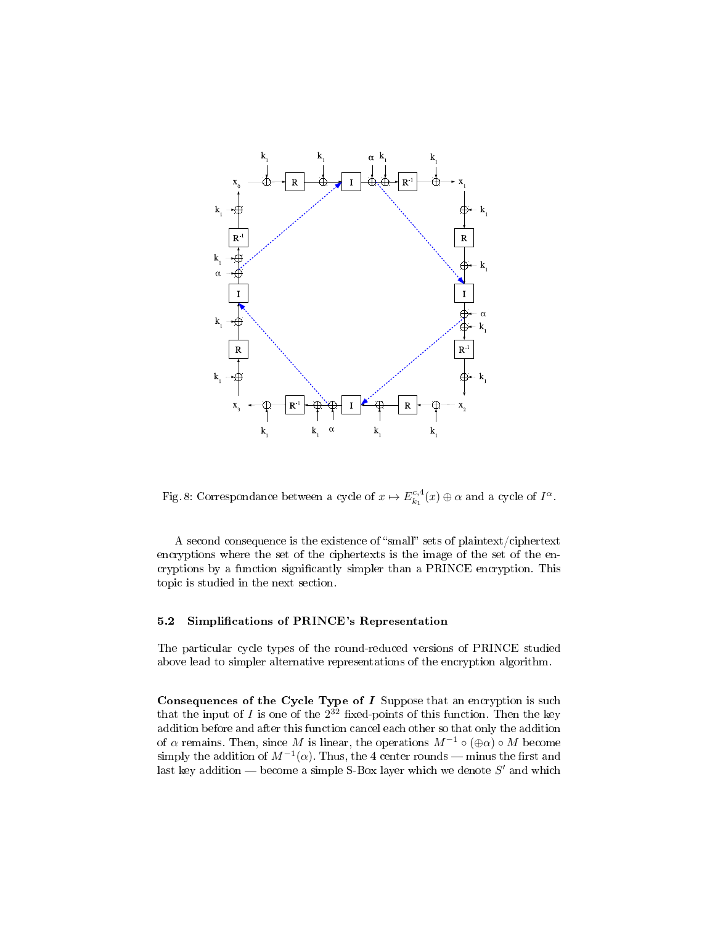<span id="page-20-0"></span>

Fig. 8: Correspondance between a cycle of  $x \mapsto E_{k_1}^{c,4}(x) \oplus \alpha$  and a cycle of  $I^{\alpha}$ .

A second consequence is the existence of "small" sets of plaintext/ciphertext encryptions where the set of the ciphertexts is the image of the set of the encryptions by a function signicantly simpler than a PRINCE encryption. This topic is studied in the next section.

### 5.2 Simplications of PRINCE's Representation

The particular cycle types of the round-reduced versions of PRINCE studied above lead to simpler alternative representations of the encryption algorithm.

Consequences of the Cycle Type of  $I$  Suppose that an encryption is such that the input of  $I$  is one of the  $2^{32}$  fixed-points of this function. Then the key addition before and after this function cancel each other so that only the addition of  $\alpha$  remains. Then, since M is linear, the operations  $M^{-1} \circ (\bigoplus \alpha) \circ M$  become simply the addition of  $M^{-1}(\alpha)$ . Thus, the 4 center rounds — minus the first and last key addition — become a simple S-Box layer which we denote  $S'$  and which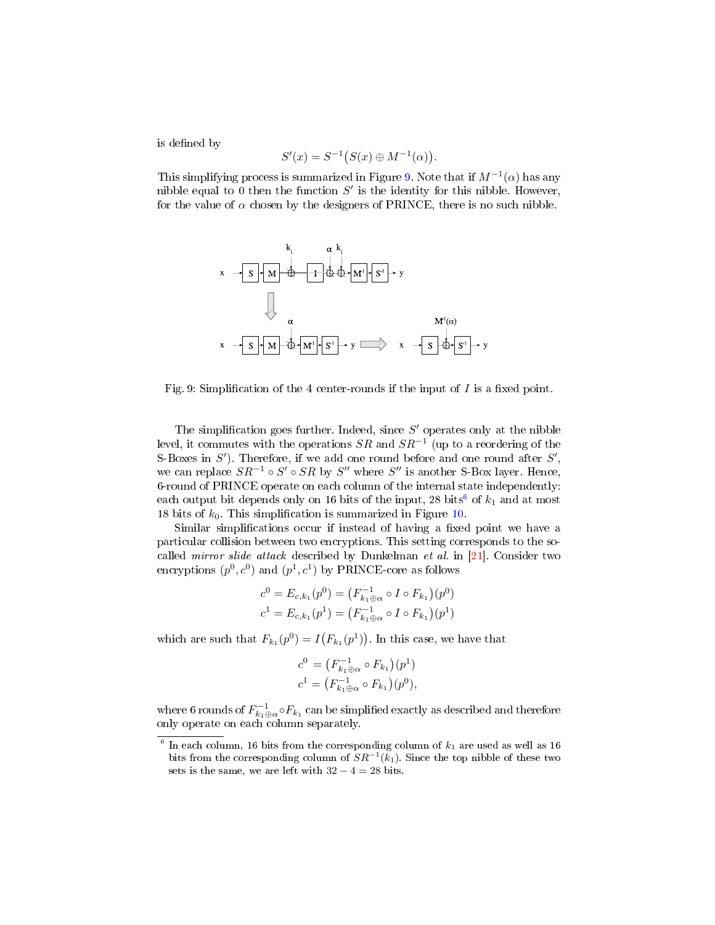is defined by

$$
S'(x) = S^{-1}(S(x) \oplus M^{-1}(\alpha)).
$$

This simplifying process is summarized in Figure [9.](#page-21-0) Note that if  $M^{-1}(\alpha)$  has any nibble equal to 0 then the function  $S'$  is the identity for this nibble. However, for the value of  $\alpha$  chosen by the designers of PRINCE, there is no such nibble.

<span id="page-21-0"></span>

Fig. 9: Simplification of the 4 center-rounds if the input of  $I$  is a fixed point.

The simplification goes further. Indeed, since  $S'$  operates only at the nibble level, it commutes with the operations  $SR$  and  $SR^{-1}$  (up to a reordering of the S-Boxes in  $S'$ ). Therefore, if we add one round before and one round after  $S'$ , we can replace  $SR^{-1} \circ S' \circ SR$  by  $S''$  where  $S''$  is another S-Box layer. Hence, 6-round of PRINCE operate on each column of the internal state independently: each output bit depends only on 1[6](#page-21-1) bits of the input, 28 bits<sup>6</sup> of  $k_1$  and at most 18 bits of  $k_0$ . This simplification is summarized in Figure [10.](#page-22-0)

Similar simplifications occur if instead of having a fixed point we have a particular collision between two encryptions. This setting corresponds to the socalled mirror slide attack described by Dunkelman et al. in [\[21\]](#page-25-7). Consider two encryptions  $(p^0, c^0)$  and  $(p^1, c^1)$  by PRINCE-core as follows

$$
c^{0} = E_{c,k_1}(p^{0}) = (F_{k_1 \oplus \alpha}^{-1} \circ I \circ F_{k_1})(p^{0})
$$
  

$$
c^{1} = E_{c,k_1}(p^{1}) = (F_{k_1 \oplus \alpha}^{-1} \circ I \circ F_{k_1})(p^{1})
$$

which are such that  $F_{k_1}(p^0) = I(F_{k_1}(p^1))$ . In this case, we have that

$$
c^{0} = (F_{k_{1} \oplus \alpha}^{-1} \circ F_{k_{1}})(p^{1})
$$
  

$$
c^{1} = (F_{k_{1} \oplus \alpha}^{-1} \circ F_{k_{1}})(p^{0}),
$$

where 6 rounds of  $F_{k_1\oplus \alpha}^{-1} \circ F_{k_1}$  can be simplified exactly as described and therefore only operate on each column separately.

<span id="page-21-1"></span> $6$  In each column, 16 bits from the corresponding column of  $k_1$  are used as well as 16 bits from the corresponding column of  $SR^{-1}(k_1)$ . Since the top nibble of these two sets is the same, we are left with  $32 - 4 = 28$  bits.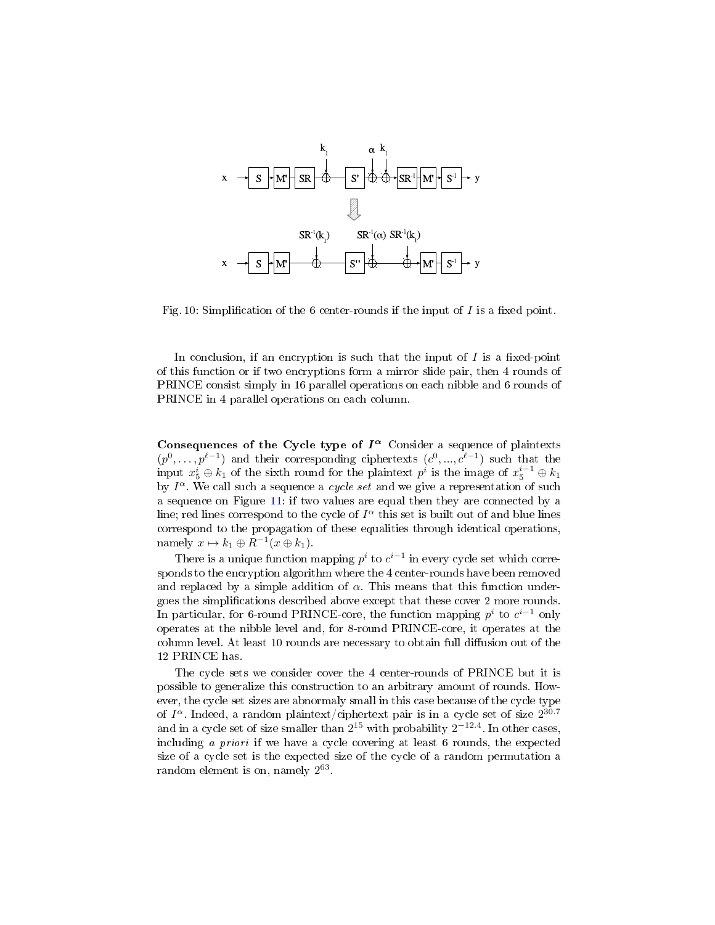<span id="page-22-0"></span>

Fig. 10: Simplification of the 6 center-rounds if the input of  $I$  is a fixed point.

In conclusion, if an encryption is such that the input of  $I$  is a fixed-point of this function or if two encryptions form a mirror slide pair, then 4 rounds of PRINCE consist simply in 16 parallel operations on each nibble and 6 rounds of PRINCE in 4 parallel operations on each column.

Consequences of the Cycle type of  $I^{\alpha}$  Consider a sequence of plaintexts  $(p^0, \ldots, p^{\ell-1})$  and their corresponding ciphertexts  $(c^0, \ldots, c^{\ell-1})$  such that the input  $x_5^i \oplus k_1$  of the sixth round for the plaintext  $p^i$  is the image of  $x_5^{i-1} \oplus k_1$ by  $I^{\alpha}$ . We call such a sequence a *cycle set* and we give a representation of such a sequence on Figure [11:](#page-23-0) if two values are equal then they are connected by a line; red lines correspond to the cycle of  $I^{\alpha}$  this set is built out of and blue lines correspond to the propagation of these equalities through identical operations, namely  $x \mapsto k_1 \oplus R^{-1}(x \oplus k_1)$ .

There is a unique function mapping  $p^i$  to  $c^{i-1}$  in every cycle set which corresponds to the encryption algorithm where the 4 center-rounds have been removed and replaced by a simple addition of  $\alpha$ . This means that this function undergoes the simplications described above except that these cover 2 more rounds. In particular, for 6-round PRINCE-core, the function mapping  $p^i$  to  $c^{i-1}$  only operates at the nibble level and, for 8-round PRINCE-core, it operates at the column level. At least 10 rounds are necessary to obtain full diffusion out of the 12 PRINCE has.

The cycle sets we consider cover the 4 center-rounds of PRINCE but it is possible to generalize this construction to an arbitrary amount of rounds. However, the cycle set sizes are abnormaly small in this case because of the cycle type of  $I^{\alpha}$ . Indeed, a random plaintext/ciphertext pair is in a cycle set of size  $2^{30.7}$ and in a cycle set of size smaller than  $2^{15}$  with probability  $2^{-12.4}$ . In other cases, including a priori if we have a cycle covering at least 6 rounds, the expected size of a cycle set is the expected size of the cycle of a random permutation a random element is on, namely  $2^{63}$ .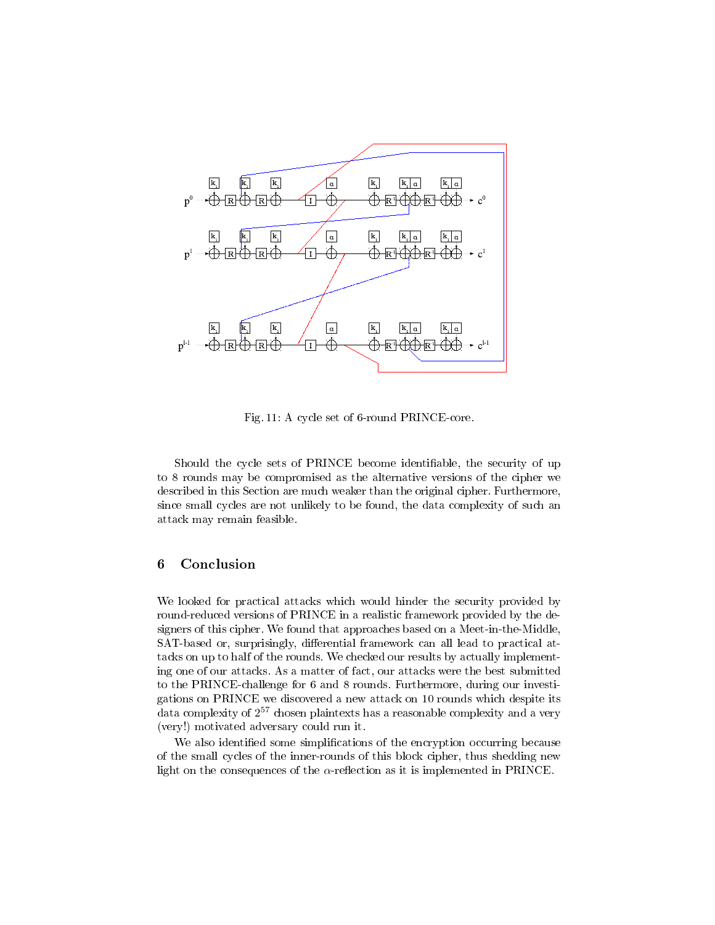<span id="page-23-0"></span>

Fig. 11: A cycle set of 6-round PRINCE-core.

Should the cycle sets of PRINCE become identifiable, the security of up to 8 rounds may be compromised as the alternative versions of the cipher we described in this Section are much weaker than the original cipher. Furthermore, since small cycles are not unlikely to be found, the data complexity of such an attack may remain feasible.

### 6 Conclusion

We looked for practical attacks which would hinder the security provided by round-reduced versions of PRINCE in a realistic framework provided by the designers of this cipher. We found that approaches based on a Meet-in-the-Middle, SAT-based or, surprisingly, differential framework can all lead to practical attacks on up to half of the rounds. We checked our results by actually implementing one of our attacks. As a matter of fact, our attacks were the best submitted to the PRINCE-challenge for 6 and 8 rounds. Furthermore, during our investigations on PRINCE we discovered a new attack on 10 rounds which despite its data complexity of  $2^{57}$  chosen plaintexts has a reasonable complexity and a very (very!) motivated adversary could run it.

We also identified some simplifications of the encryption occurring because of the small cycles of the inner-rounds of this block cipher, thus shedding new light on the consequences of the  $\alpha$ -reflection as it is implemented in PRINCE.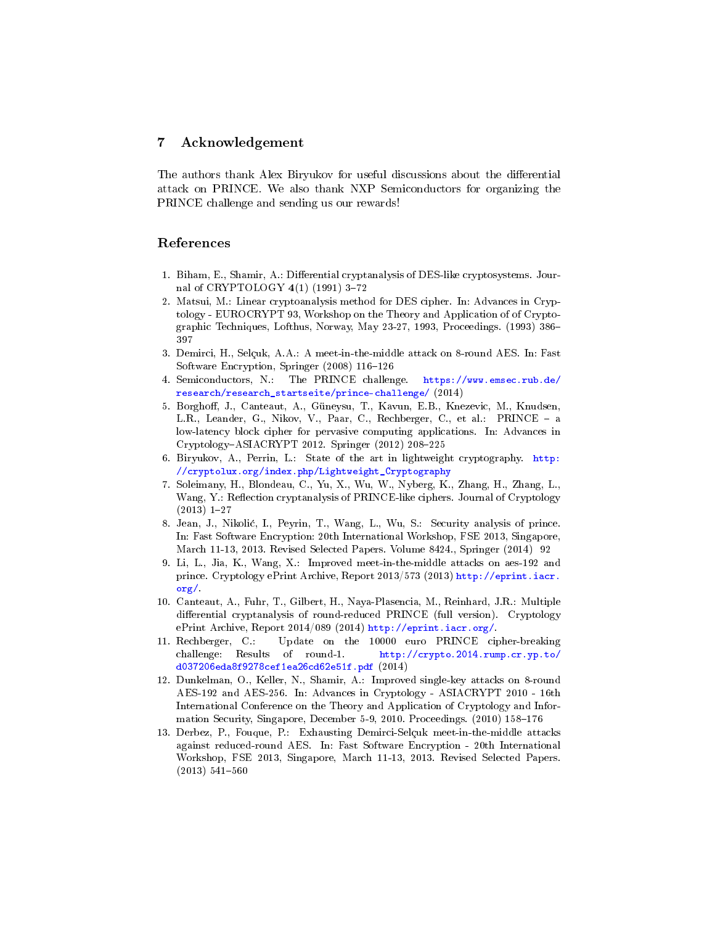## 7 Acknowledgement

The authors thank Alex Biryukov for useful discussions about the differential attack on PRINCE. We also thank NXP Semiconductors for organizing the PRINCE challenge and sending us our rewards!

## References

- <span id="page-24-0"></span>1. Biham, E., Shamir, A.: Differential cryptanalysis of DES-like cryptosystems. Journal of CRYPTOLOGY  $4(1)$  (1991) 3-72
- <span id="page-24-1"></span>2. Matsui, M.: Linear cryptoanalysis method for DES cipher. In: Advances in Cryptology - EUROCRYPT 93, Workshop on the Theory and Application of of Cryptographic Techniques, Lofthus, Norway, May 23-27, 1993, Proceedings. (1993) 386 397
- <span id="page-24-2"></span>3. Demirci, H., Selçuk, A.A.: A meet-in-the-middle attack on 8-round AES. In: Fast Software Encryption, Springer (2008) 116-126
- <span id="page-24-3"></span>4. Semiconductors, N.: The PRINCE challenge. [https://www.emsec.rub.de/](https://www.emsec.rub.de/research/research_startseite/prince-challenge/) [research/research\\_startseite/prince-challenge/](https://www.emsec.rub.de/research/research_startseite/prince-challenge/) (2014)
- <span id="page-24-4"></span>5. Borghoff, J., Canteaut, A., Güneysu, T., Kavun, E.B., Knezevic, M., Knudsen, L.R., Leander, G., Nikov, V., Paar, C., Rechberger, C., et al.: PRINCE - a low-latency block cipher for pervasive computing applications. In: Advances in  $Cryptology-ASIACRYPT 2012. Springer (2012) 208-225$
- <span id="page-24-5"></span>6. Biryukov, A., Perrin, L.: State of the art in lightweight cryptography. [http:](http://cryptolux.org/index.php/Lightweight_Cryptography) [//cryptolux.org/index.php/Lightweight\\_Cryptography](http://cryptolux.org/index.php/Lightweight_Cryptography)
- <span id="page-24-6"></span>7. Soleimany, H., Blondeau, C., Yu, X., Wu, W., Nyberg, K., Zhang, H., Zhang, L., Wang, Y.: Reflection cryptanalysis of PRINCE-like ciphers. Journal of Cryptology  $(2013)$  1-27
- <span id="page-24-7"></span>8. Jean, J., Nikoli¢, I., Peyrin, T., Wang, L., Wu, S.: Security analysis of prince. In: Fast Software Encryption: 20th International Workshop, FSE 2013, Singapore, March 11-13, 2013. Revised Selected Papers. Volume 8424., Springer (2014) 92
- <span id="page-24-8"></span>9. Li, L., Jia, K., Wang, X.: Improved meet-in-the-middle attacks on aes-192 and prince. Cryptology ePrint Archive, Report 2013/573 (2013) [http://eprint.iacr.](http://eprint.iacr.org/) [org/.](http://eprint.iacr.org/)
- <span id="page-24-9"></span>10. Canteaut, A., Fuhr, T., Gilbert, H., Naya-Plasencia, M., Reinhard, J.R.: Multiple differential cryptanalysis of round-reduced PRINCE (full version). Cryptology ePrint Archive, Report 2014/089 (2014) [http://eprint.iacr.org/.](http://eprint.iacr.org/)
- <span id="page-24-10"></span>11. Rechberger, C.: Update on the 10000 euro PRINCE cipher-breaking challenge: Results of round-1. [http://crypto.2014.rump.cr.yp.to/](http://crypto.2014.rump.cr.yp.to/d037206eda8f9278cef1ea26cd62e51f.pdf) [d037206eda8f9278cef1ea26cd62e51f.pdf](http://crypto.2014.rump.cr.yp.to/d037206eda8f9278cef1ea26cd62e51f.pdf) (2014)
- <span id="page-24-11"></span>12. Dunkelman, O., Keller, N., Shamir, A.: Improved single-key attacks on 8-round AES-192 and AES-256. In: Advances in Cryptology - ASIACRYPT 2010 - 16th International Conference on the Theory and Application of Cryptology and Information Security, Singapore, December 5-9, 2010. Proceedings. (2010) 158-176
- <span id="page-24-12"></span>13. Derbez, P., Fouque, P.: Exhausting Demirci-Selçuk meet-in-the-middle attacks against reduced-round AES. In: Fast Software Encryption - 20th International Workshop, FSE 2013, Singapore, March 11-13, 2013. Revised Selected Papers.  $(2013) 541 - 560$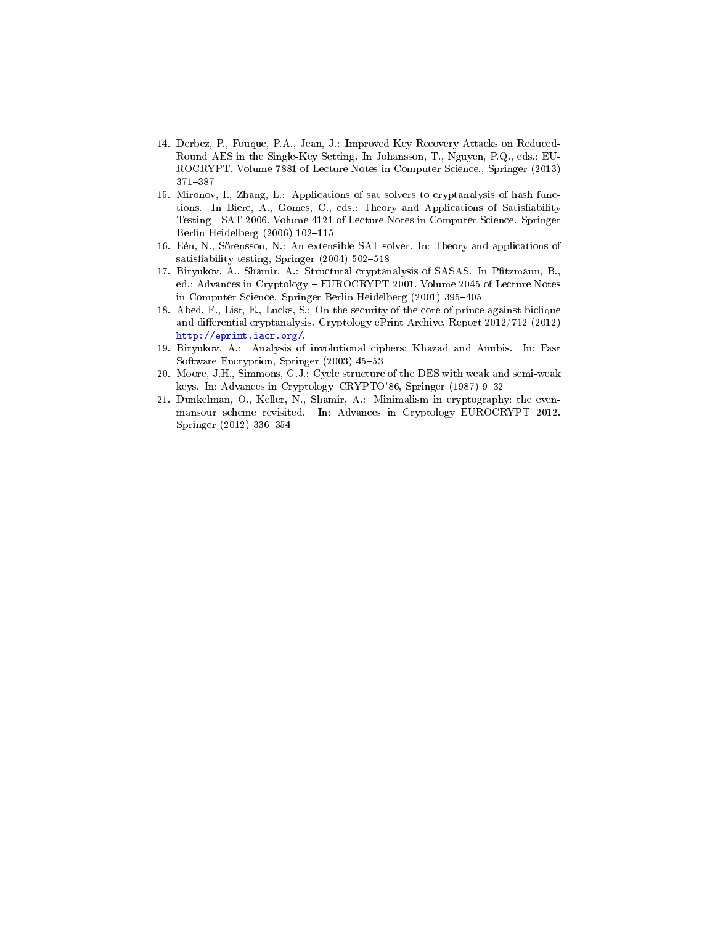- <span id="page-25-0"></span>14. Derbez, P., Fouque, P.A., Jean, J.: Improved Key Recovery Attacks on Reduced-Round AES in the Single-Key Setting. In Johansson, T., Nguyen, P.Q., eds.: EU-ROCRYPT. Volume 7881 of Lecture Notes in Computer Science., Springer (2013) 371387
- <span id="page-25-1"></span>15. Mironov, I., Zhang, L.: Applications of sat solvers to cryptanalysis of hash functions. In Biere, A., Gomes, C., eds.: Theory and Applications of Satisfiability Testing - SAT 2006. Volume 4121 of Lecture Notes in Computer Science. Springer Berlin Heidelberg  $(2006)$  102-115
- <span id="page-25-2"></span>16. Eén, N., Sörensson, N.: An extensible SAT-solver. In: Theory and applications of satisfiability testing, Springer  $(2004)$  502-518
- <span id="page-25-3"></span>17. Biryukov, A., Shamir, A.: Structural cryptanalysis of SASAS. In Pfitzmann, B., ed.: Advances in Cryptology EUROCRYPT 2001. Volume 2045 of Lecture Notes in Computer Science. Springer Berlin Heidelberg (2001) 395-405
- <span id="page-25-4"></span>18. Abed, F., List, E., Lucks, S.: On the security of the core of prince against biclique and differential cryptanalysis. Cryptology ePrint Archive, Report 2012/712 (2012) [http://eprint.iacr.org/.](http://eprint.iacr.org/)
- <span id="page-25-5"></span>19. Biryukov, A.: Analysis of involutional ciphers: Khazad and Anubis. In: Fast Software Encryption, Springer (2003) 45-53
- <span id="page-25-6"></span>20. Moore, J.H., Simmons, G.J.: Cycle structure of the DES with weak and semi-weak keys. In: Advances in Cryptology-CRYPTO'86, Springer (1987) 9-32
- <span id="page-25-7"></span>21. Dunkelman, O., Keller, N., Shamir, A.: Minimalism in cryptography: the evenmansour scheme revisited. In: Advances in Cryptology-EUROCRYPT 2012. Springer (2012) 336-354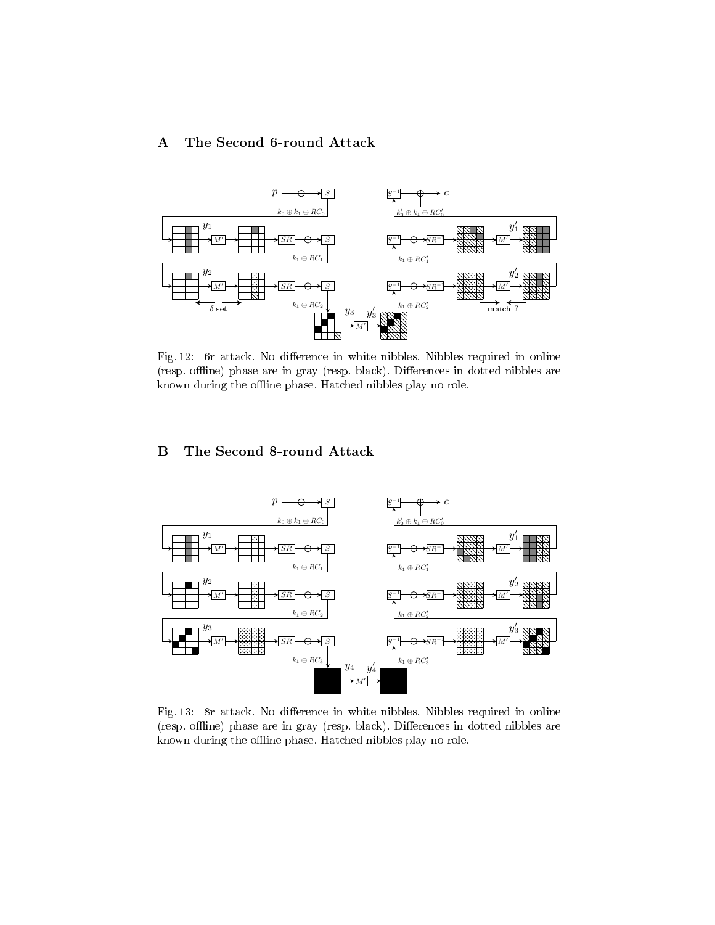# <span id="page-26-1"></span>A The Second 6-round Attack

<span id="page-26-0"></span>

Fig. 12: 6r attack. No difference in white nibbles. Nibbles required in online (resp. offline) phase are in gray (resp. black). Differences in dotted nibbles are known during the offline phase. Hatched nibbles play no role.

# <span id="page-26-3"></span>B The Second 8-round Attack

<span id="page-26-2"></span>

Fig. 13: 8r attack. No difference in white nibbles. Nibbles required in online (resp. offline) phase are in gray (resp. black). Differences in dotted nibbles are known during the offline phase. Hatched nibbles play no role.